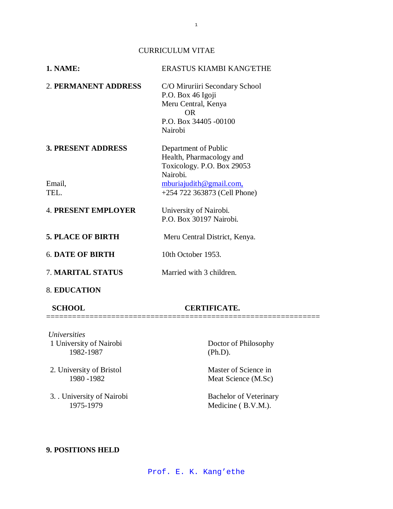### CURRICULUM VITAE

| <b>1. NAME:</b>            | ERASTUS KIAMBI KANG'ETHE                                                                                              |
|----------------------------|-----------------------------------------------------------------------------------------------------------------------|
| 2. PERMANENT ADDRESS       | C/O Miruriiri Secondary School<br>P.O. Box 46 Igoji<br>Meru Central, Kenya<br>OR.<br>P.O. Box 34405 -00100<br>Nairobi |
| <b>3. PRESENT ADDRESS</b>  | Department of Public<br>Health, Pharmacology and<br>Toxicology. P.O. Box 29053<br>Nairobi.                            |
| Email,<br>TEL.             | mburiajudith@gmail.com,<br>+254 722 363873 (Cell Phone)                                                               |
| <b>4. PRESENT EMPLOYER</b> | University of Nairobi.<br>P.O. Box 30197 Nairobi.                                                                     |
| <b>5. PLACE OF BIRTH</b>   | Meru Central District, Kenya.                                                                                         |
| <b>6. DATE OF BIRTH</b>    | 10th October 1953.                                                                                                    |
| 7. MARITAL STATUS          | Married with 3 children.                                                                                              |
| <b>8. EDUCATION</b>        |                                                                                                                       |

### **SCHOOL CERTIFICATE.**

===============================================================

- *Universities* 1 University of Nairobi Doctor of Philosophy 1982-1987 (Ph.D).
- 2. University of Bristol Master of Science in<br>
1980 1982 Meat Science (M.Sc)
- 3. . University of Nairobi Bachelor of Veterinary

Meat Science (M.Sc)

Medicine ( B.V.M.).

# **9. POSITIONS HELD**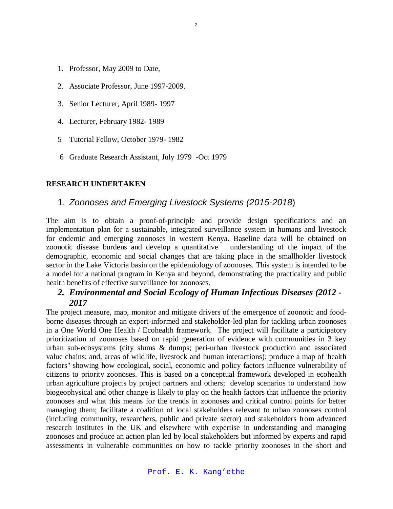- 1. Professor, May 2009 to Date,
- 2. Associate Professor, June 1997-2009.
- 3. Senior Lecturer, April 1989- 1997
- 4. Lecturer, February 1982- 1989
- 5 Tutorial Fellow, October 1979- 1982
- 6 Graduate Research Assistant, July 1979 -Oct 1979

### **RESEARCH UNDERTAKEN**

# 1. *Zoonoses and Emerging Livestock Systems (2015-2018*)

The aim is to obtain a proof-of-principle and provide design specifications and an implementation plan for a sustainable, integrated surveillance system in humans and livestock for endemic and emerging zoonoses in western Kenya. Baseline data will be obtained on zoonotic disease burdens and develop a quantitative understanding of the impact of the demographic, economic and social changes that are taking place in the smallholder livestock sector in the Lake Victoria basin on the epidemiology of zoonoses. This system is intended to be a model for a national program in Kenya and beyond, demonstrating the practicality and public health benefits of effective surveillance for zoonoses.

# *2. Environmental and Social Ecology of Human Infectious Diseases (2012 - 2017*

The project measure, map, monitor and mitigate drivers of the emergence of zoonotic and foodborne diseases through an expert-informed and stakeholder-led plan for tackling urban zoonoses in a One World One Health / Ecohealth framework. The project will facilitate a participatory prioritization of zoonoses based on rapid generation of evidence with communities in 3 key urban sub-ecosystems (city slums & dumps; peri-urban livestock production and associated value chains; and, areas of wildlife, livestock and human interactions); produce a map of 'health factors" showing how ecological, social, economic and policy factors influence vulnerability of citizens to priority zoonoses. This is based on a conceptual framework developed in ecohealth urban agriculture projects by project partners and others; develop scenarios to understand how biogeophysical and other change is likely to play on the health factors that influence the priority zoonoses and what this means for the trends in zoonoses and critical control points for better managing them; facilitate a coalition of local stakeholders relevant to urban zoonoses control (including community, researchers, public and private sector) and stakeholders from advanced research institutes in the UK and elsewhere with expertise in understanding and managing zoonoses and produce an action plan led by local stakeholders but informed by experts and rapid assessments in vulnerable communities on how to tackle priority zoonoses in the short and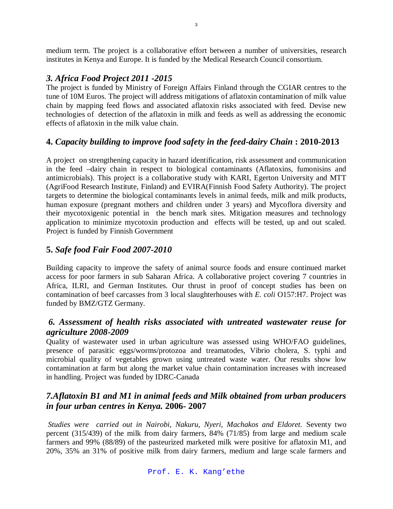medium term. The project is a collaborative effort between a number of universities, research institutes in Kenya and Europe. It is funded by the Medical Research Council consortium.

# *3. Africa Food Project 2011 -2015*

The project is funded by Ministry of Foreign Affairs Finland through the CGIAR centres to the tune of 10M Euros. The project will address mitigations of aflatoxin contamination of milk value chain by mapping feed flows and associated aflatoxin risks associated with feed. Devise new technologies of detection of the aflatoxin in milk and feeds as well as addressing the economic effects of aflatoxin in the milk value chain.

# **4.** *Capacity building to improve food safety in the feed-dairy Chain* **: 2010-2013**

A project on strengthening capacity in hazard identification, risk assessment and communication in the feed –dairy chain in respect to biological contaminants (Aflatoxins, fumonisins and antimicrobials). This project is a collaborative study with KARI, Egerton University and MTT (AgriFood Research Institute, Finland) and EVIRA(Finnish Food Safety Authority). The project targets to determine the biological contaminants levels in animal feeds, milk and milk products, human exposure (pregnant mothers and children under 3 years) and Mycoflora diversity and their mycotoxigenic potential in the bench mark sites. Mitigation measures and technology application to minimize mycotoxin production and effects will be tested, up and out scaled. Project is funded by Finnish Government

# **5.** *Safe food Fair Food 2007-2010*

Building capacity to improve the safety of animal source foods and ensure continued market access for poor farmers in sub Saharan Africa. A collaborative project covering 7 countries in Africa, ILRI, and German Institutes. Our thrust in proof of concept studies has been on contamination of beef carcasses from 3 local slaughterhouses with *E. coli* O157:H7. Project was funded by BMZ/GTZ Germany.

# *6. Assessment of health risks associated with untreated wastewater reuse for agriculture 2008-2009*

Quality of wastewater used in urban agriculture was assessed using WHO/FAO guidelines, presence of parasitic eggs/worms/protozoa and treamatodes, Vibrio cholera, S. typhi and microbial quality of vegetables grown using untreated waste water. Our results show low contamination at farm but along the market value chain contamination increases with increased in handling. Project was funded by IDRC-Canada

# *7.Aflatoxin B1 and M1 in animal feeds and Milk obtained from urban producers in four urban centres in Kenya.* **2006- 2007**

*Studies were carried out in Nairobi, Nakuru, Nyeri, Machakos and Eldoret.* Seventy two percent (315/439) of the milk from dairy farmers, 84% (71/85) from large and medium scale farmers and 99% (88/89) of the pasteurized marketed milk were positive for aflatoxin M1, and 20%, 35% an 31% of positive milk from dairy farmers, medium and large scale farmers and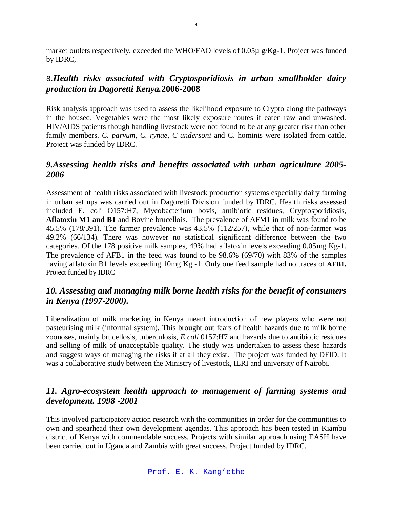market outlets respectively, exceeded the WHO/FAO levels of 0.05µ g/Kg-1. Project was funded by IDRC,

# 8*.Health risks associated with Cryptosporidiosis in urban smallholder dairy production in Dagoretti Kenya.***2006-2008**

Risk analysis approach was used to assess the likelihood exposure to Crypto along the pathways in the housed. Vegetables were the most likely exposure routes if eaten raw and unwashed. HIV/AIDS patients though handling livestock were not found to be at any greater risk than other family members. *C. parvum, C. rynae, C undersoni* and C. hominis were isolated from cattle. Project was funded by IDRC.

# *9.Assessing health risks and benefits associated with urban agriculture 2005- 2006*

Assessment of health risks associated with livestock production systems especially dairy farming in urban set ups was carried out in Dagoretti Division funded by IDRC. Health risks assessed included E. coli O157:H7, Mycobacterium bovis, antibiotic residues, Cryptosporidiosis, **Aflatoxin M1 and B1** and Bovine brucellois*.* The prevalence of AFM1 in milk was found to be 45.5% (178/391). The farmer prevalence was 43.5% (112/257), while that of non-farmer was 49.2% (66/134). There was however no statistical significant difference between the two categories. Of the 178 positive milk samples, 49% had aflatoxin levels exceeding 0.05mg Kg-1. The prevalence of AFB1 in the feed was found to be 98.6% (69/70) with 83% of the samples having aflatoxin B1 levels exceeding 10mg Kg -1. Only one feed sample had no traces of **AFB1.**  Project funded by IDRC

# *10. Assessing and managing milk borne health risks for the benefit of consumers in Kenya (1997-2000).*

Liberalization of milk marketing in Kenya meant introduction of new players who were not pasteurising milk (informal system). This brought out fears of health hazards due to milk borne zoonoses, mainly brucellosis, tuberculosis, *E.coli* 0157:H7 and hazards due to antibiotic residues and selling of milk of unacceptable quality. The study was undertaken to assess these hazards and suggest ways of managing the risks if at all they exist. The project was funded by DFID. It was a collaborative study between the Ministry of livestock, ILRI and university of Nairobi.

# *11. Agro-ecosystem health approach to management of farming systems and development. 1998 -2001*

This involved participatory action research with the communities in order for the communities to own and spearhead their own development agendas. This approach has been tested in Kiambu district of Kenya with commendable success. Projects with similar approach using EASH have been carried out in Uganda and Zambia with great success. Project funded by IDRC.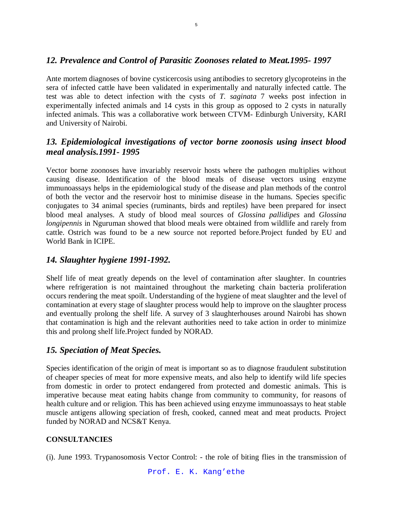# *12. Prevalence and Control of Parasitic Zoonoses related to Meat.1995- 1997*

Ante mortem diagnoses of bovine cysticercosis using antibodies to secretory glycoproteins in the sera of infected cattle have been validated in experimentally and naturally infected cattle. The test was able to detect infection with the cysts of *T. saginata* 7 weeks post infection in experimentally infected animals and 14 cysts in this group as opposed to 2 cysts in naturally infected animals. This was a collaborative work between CTVM- Edinburgh University, KARI and University of Nairobi.

# *13. Epidemiological investigations of vector borne zoonosis using insect blood meal analysis.1991- 1995*

Vector borne zoonoses have invariably reservoir hosts where the pathogen multiplies without causing disease. Identification of the blood meals of disease vectors using enzyme immunoassays helps in the epidemiological study of the disease and plan methods of the control of both the vector and the reservoir host to minimise disease in the humans. Species specific conjugates to 34 animal species (ruminants, birds and reptiles) have been prepared for insect blood meal analyses. A study of blood meal sources of *Glossina pallidipes* and *Glossina longipennis* in Nguruman showed that blood meals were obtained from wildlife and rarely from cattle. Ostrich was found to be a new source not reported before.Project funded by EU and World Bank in ICIPE.

# *14. Slaughter hygiene 1991-1992.*

Shelf life of meat greatly depends on the level of contamination after slaughter. In countries where refrigeration is not maintained throughout the marketing chain bacteria proliferation occurs rendering the meat spoilt. Understanding of the hygiene of meat slaughter and the level of contamination at every stage of slaughter process would help to improve on the slaughter process and eventually prolong the shelf life. A survey of 3 slaughterhouses around Nairobi has shown that contamination is high and the relevant authorities need to take action in order to minimize this and prolong shelf life.Project funded by NORAD.

# *15. Speciation of Meat Species.*

Species identification of the origin of meat is important so as to diagnose fraudulent substitution of cheaper species of meat for more expensive meats, and also help to identify wild life species from domestic in order to protect endangered from protected and domestic animals. This is imperative because meat eating habits change from community to community, for reasons of health culture and or religion. This has been achieved using enzyme immunoassays to heat stable muscle antigens allowing speciation of fresh, cooked, canned meat and meat products. Project funded by NORAD and NCS&T Kenya.

## **CONSULTANCIES**

(i). June 1993. Trypanosomosis Vector Control: - the role of biting flies in the transmission of

Prof. E. K. Kang'ethe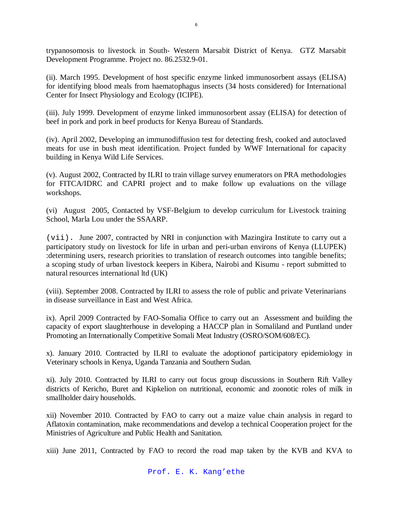trypanosomosis to livestock in South- Western Marsabit District of Kenya. GTZ Marsabit Development Programme. Project no. 86.2532.9-01.

(ii). March 1995. Development of host specific enzyme linked immunosorbent assays (ELISA) for identifying blood meals from haematophagus insects (34 hosts considered) for International Center for Insect Physiology and Ecology (ICIPE).

(iii). July 1999. Development of enzyme linked immunosorbent assay (ELISA) for detection of beef in pork and pork in beef products for Kenya Bureau of Standards.

(iv). April 2002, Developing an immunodiffusion test for detecting fresh, cooked and autoclaved meats for use in bush meat identification. Project funded by WWF International for capacity building in Kenya Wild Life Services.

(v). August 2002, Contracted by ILRI to train village survey enumerators on PRA methodologies for FITCA/IDRC and CAPRI project and to make follow up evaluations on the village workshops.

(vi) August 2005, Contacted by VSF-Belgium to develop curriculum for Livestock training School, Marla Lou under the SSAARP.

(vii). June 2007, contracted by NRI in conjunction with Mazingira Institute to carry out a participatory study on livestock for life in urban and peri-urban environs of Kenya (LLUPEK) :determining users, research priorities to translation of research outcomes into tangible benefits; a scoping study of urban livestock keepers in Kibera, Nairobi and Kisumu - report submitted to natural resources international ltd (UK)

(viii). September 2008. Contracted by ILRI to assess the role of public and private Veterinarians in disease surveillance in East and West Africa.

ix). April 2009 Contracted by FAO-Somalia Office to carry out an Assessment and building the capacity of export slaughterhouse in developing a HACCP plan in Somaliland and Puntland under Promoting an Internationally Competitive Somali Meat Industry (OSRO/SOM/608/EC).

x). January 2010. Contracted by ILRI to evaluate the adoptionof participatory epidemiology in Veterinary schools in Kenya, Uganda Tanzania and Southern Sudan.

xi). July 2010. Contracted by ILRI to carry out focus group discussions in Southern Rift Valley districts of Kericho, Buret and Kipkelion on nutritional, economic and zoonotic roles of milk in smallholder dairy households.

xii) November 2010. Contracted by FAO to carry out a maize value chain analysis in regard to Aflatoxin contamination, make recommendations and develop a technical Cooperation project for the Ministries of Agriculture and Public Health and Sanitation.

xiii) June 2011, Contracted by FAO to record the road map taken by the KVB and KVA to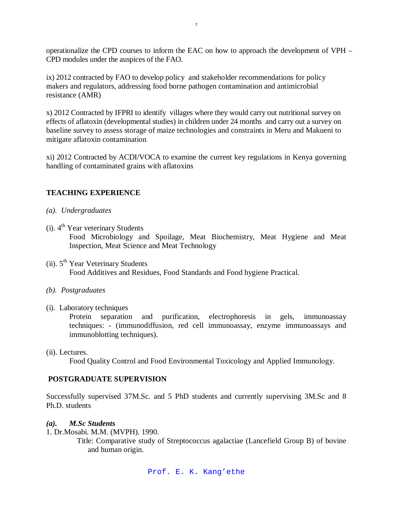operationalize the CPD courses to inform the EAC on how to approach the development of VPH – CPD modules under the auspices of the FAO.

ix) 2012 contracted by FAO to develop policy and stakeholder recommendations for policy makers and regulators, addressing food borne pathogen contamination and antimicrobial resistance (AMR)

x) 2012 Contracted by IFPRI to identify villages where they would carry out nutritional survey on effects of aflatoxin (developmental studies) in children under 24 months and carry out a survey on baseline survey to assess storage of maize technologies and constraints in Meru and Makueni to mitigate aflatoxin contamination

xi) 2012 Contracted by ACDI/VOCA to examine the current key regulations in Kenya governing handling of contaminated grains with aflatoxins

# **TEACHING EXPERIENCE**

- *(a). Undergraduates*
- (i).  $4^{\text{th}}$  Year veterinary Students Food Microbiology and Spoilage, Meat Biochemistry, Meat Hygiene and Meat Inspection, Meat Science and Meat Technology
- (ii).  $5<sup>th</sup> Year Vectoring Students$ Food Additives and Residues, Food Standards and Food hygiene Practical.
- *(b). Postgraduates*
- (i). Laboratory techniques

Protein separation and purification, electrophoresis in gels, immunoassay techniques: - (immunodiffusion, red cell immunoassay, enzyme immunoassays and immunoblotting techniques).

(ii). Lectures.

Food Quality Control and Food Environmental Toxicology and Applied Immunology.

# **POSTGRADUATE SUPERVISION**

Successfully supervised 37M.Sc. and 5 PhD students and currently supervising 3M.Sc and 8 Ph.D. students

## *(a). M.Sc Students*

1. Dr.Mosabi. M.M. (MVPH). 1990.

 Title: Comparative study of Streptococcus agalactiae (Lancefield Group B) of bovine and human origin.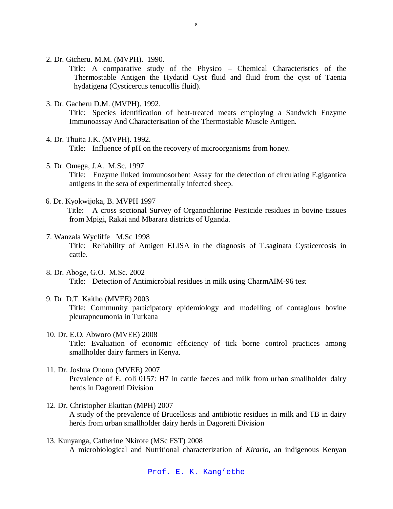2. Dr. Gicheru. M.M. (MVPH). 1990.

Title: A comparative study of the Physico – Chemical Characteristics of the Thermostable Antigen the Hydatid Cyst fluid and fluid from the cyst of Taenia hydatigena (Cysticercus tenucollis fluid).

3. Dr. Gacheru D.M. (MVPH). 1992.

Title: Species identification of heat-treated meats employing a Sandwich Enzyme Immunoassay And Characterisation of the Thermostable Muscle Antigen.

- 4. Dr. Thuita J.K. (MVPH). 1992. Title: Influence of pH on the recovery of microorganisms from honey.
- 5. Dr. Omega, J.A. M.Sc. 1997 Title: Enzyme linked immunosorbent Assay for the detection of circulating F.gigantica antigens in the sera of experimentally infected sheep.
- 6. Dr. Kyokwijoka, B. MVPH 1997

 Title: A cross sectional Survey of Organochlorine Pesticide residues in bovine tissues from Mpigi, Rakai and Mbarara districts of Uganda.

- 7. Wanzala Wycliffe M.Sc 1998 Title: Reliability of Antigen ELISA in the diagnosis of T.saginata Cysticercosis in cattle.
- 8. Dr. Aboge, G.O. M.Sc. 2002 Title: Detection of Antimicrobial residues in milk using CharmAIM-96 test
- 9. Dr. D.T. Kaitho (MVEE) 2003 Title: Community participatory epidemiology and modelling of contagious bovine pleurapneumonia in Turkana
- 10. Dr. E.O. Abworo (MVEE) 2008 Title: Evaluation of economic efficiency of tick borne control practices among smallholder dairy farmers in Kenya.
- 11. Dr. Joshua Onono (MVEE) 2007 Prevalence of E. coli 0157: H7 in cattle faeces and milk from urban smallholder dairy herds in Dagoretti Division
- 12. Dr. Christopher Ekuttan (MPH) 2007 A study of the prevalence of Brucellosis and antibiotic residues in milk and TB in dairy herds from urban smallholder dairy herds in Dagoretti Division
- 13. Kunyanga, Catherine Nkirote (MSc FST) 2008 A microbiological and Nutritional characterization of *Kirario*, an indigenous Kenyan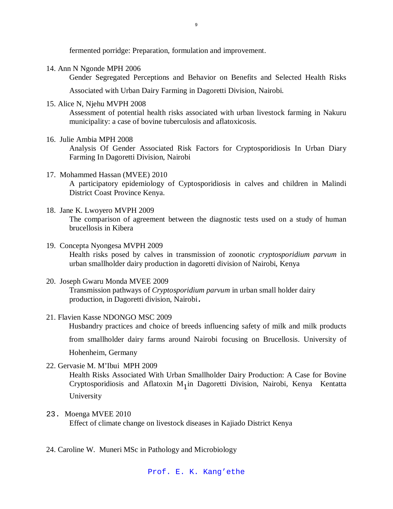fermented porridge: Preparation, formulation and improvement.

14. Ann N Ngonde MPH 2006

Gender Segregated Perceptions and Behavior on Benefits and Selected Health Risks

Associated with Urban Dairy Farming in Dagoretti Division, Nairobi.

15. Alice N, Njehu MVPH 2008

Assessment of potential health risks associated with urban livestock farming in Nakuru municipality: a case of bovine tuberculosis and aflatoxicosis.

16. Julie Ambia MPH 2008

Analysis Of Gender Associated Risk Factors for Cryptosporidiosis In Urban Diary Farming In Dagoretti Division, Nairobi

17. Mohammed Hassan (MVEE) 2010

A participatory epidemiology of Cyptosporidiosis in calves and children in Malindi District Coast Province Kenya.

- 18. Jane K. Lwoyero MVPH 2009 The comparison of agreement between the diagnostic tests used on a study of human brucellosis in Kibera
- 19. Concepta Nyongesa MVPH 2009 Health risks posed by calves in transmission of zoonotic *cryptosporidium parvum* in urban smallholder dairy production in dagoretti division of Nairobi, Kenya
- 20. Joseph Gwaru Monda MVEE 2009 Transmission pathways of *Cryptosporidium parvum* in urban small holder dairy production, in Dagoretti division, Nairobi*.*
- 21. Flavien Kasse NDONGO MSC 2009

Husbandry practices and choice of breeds influencing safety of milk and milk products

from smallholder dairy farms around Nairobi focusing on Brucellosis. University of

Hohenheim, Germany

22. Gervasie M. M'Ibui MPH 2009

Health Risks Associated With Urban Smallholder Dairy Production: A Case for Bovine Cryptosporidiosis and Aflatoxin M<sub>1</sub> in Dagoretti Division, Nairobi, Kenya Kentatta University

23. Moenga MVEE 2010

Effect of climate change on livestock diseases in Kajiado District Kenya

24. Caroline W. Muneri MSc in Pathology and Microbiology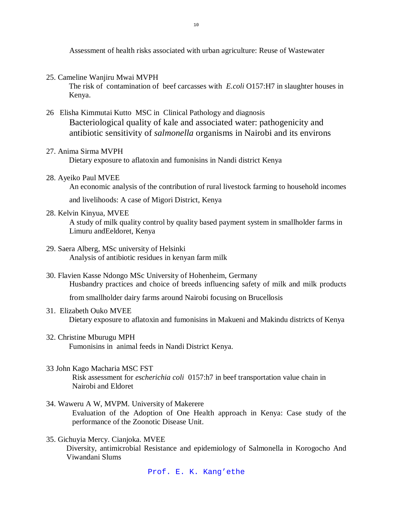Assessment of health risks associated with urban agriculture: Reuse of Wastewater

25. Cameline Wanjiru Mwai MVPH

The risk of contamination of beef carcasses with *E.coli* O157:H7 in slaughter houses in Kenya.

- 26 Elisha Kimmutai Kutto MSC in Clinical Pathology and diagnosis Bacteriological quality of kale and associated water: pathogenicity and antibiotic sensitivity of *salmonella* organisms in Nairobi and its environs
- 27. Anima Sirma MVPH

Dietary exposure to aflatoxin and fumonisins in Nandi district Kenya

28. Ayeiko Paul MVEE

An economic analysis of the contribution of rural livestock farming to household incomes

and livelihoods: A case of Migori District, Kenya

28. Kelvin Kinyua, MVEE

A study of milk quality control by quality based payment system in smallholder farms in Limuru andEeldoret, Kenya

- 29. Saera Alberg, MSc university of Helsinki Analysis of antibiotic residues in kenyan farm milk
- 30. Flavien Kasse Ndongo MSc University of Hohenheim, Germany Husbandry practices and choice of breeds influencing safety of milk and milk products

from smallholder dairy farms around Nairobi focusing on Brucellosis

- 31. Elizabeth Ouko MVEE Dietary exposure to aflatoxin and fumonisins in Makueni and Makindu districts of Kenya
- 32. Christine Mburugu MPH Fumonisins in animal feeds in Nandi District Kenya.
- 33 John Kago Macharia MSC FST Risk assessment for *escherichia coli* 0157:h7 in beef transportation value chain in Nairobi and Eldoret
- 34. Waweru A W, MVPM. University of Makerere Evaluation of the Adoption of One Health approach in Kenya: Case study of the performance of the Zoonotic Disease Unit.
- 35. Gichuyia Mercy. Cianjoka. MVEE Diversity, antimicrobial Resistance and epidemiology of Salmonella in Korogocho And Viwandani Slums

Prof. E. K. Kang'ethe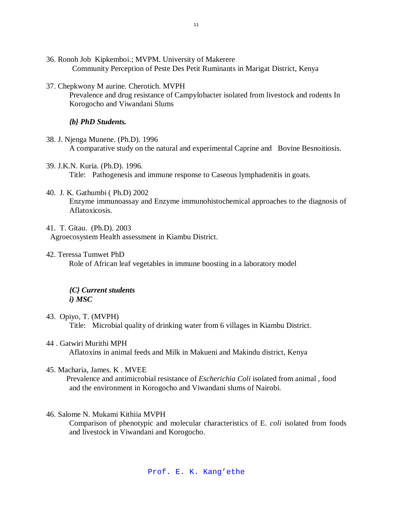- 36. Ronoh Job Kipkemboi.; MVPM. University of Makerere Community Perception of Peste Des Petit Ruminants in Marigat District, Kenya
- 37. Chepkwony M aurine. Cherotich. MVPH

Prevalence and drug resistance of Campylobacter isolated from livestock and rodents In Korogocho and Viwandani Slums

*{b} PhD Students.*

- 38. J. Njenga Munene. (Ph.D). 1996 A comparative study on the natural and experimental Caprine and Bovine Besnoitiosis.
- 39. J.K.N. Kuria. (Ph.D). 1996. Title: Pathogenesis and immune response to Caseous lymphadenitis in goats.
- 40. J. K. Gathumbi ( Ph.D) 2002 Enzyme immunoassay and Enzyme immunohistochemical approaches to the diagnosis of Aflatoxicosis.
- 41. T. Gitau. (Ph.D). 2003 Agroecosystem Health assessment in Kiambu District.
- 42. Teressa Tumwet PhD Role of African leaf vegetables in immune boosting in a laboratory model

# *{C} Current students i) MSC*

- 43. Opiyo, T. (MVPH) Title: Microbial quality of drinking water from 6 villages in Kiambu District.
- 44 . Gatwiri Murithi MPH

Aflatoxins in animal feeds and Milk in Makueni and Makindu district, Kenya

45. Macharia, James. K . MVEE

Prevalence and antimicrobial resistance of *Escherichia Coli* isolated from animal , food and the environment in Korogocho and Viwandani slums of Nairobi.

46. Salome N. Mukami Kithiia MVPH

Comparison of phenotypic and molecular characteristics of E. *coli* isolated from foods and livestock in Viwandani and Korogocho.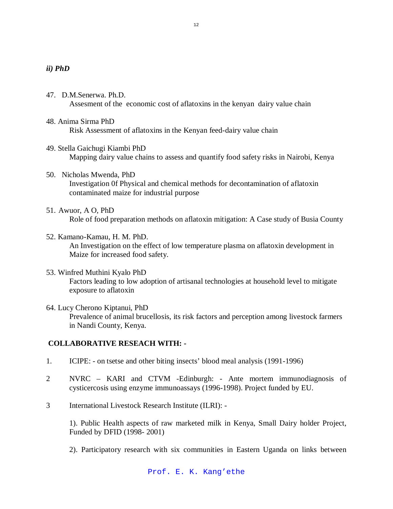### *ii) PhD*

- 47. D.M.Senerwa. Ph.D. Assesment of the economic cost of aflatoxins in the kenyan dairy value chain
- 48. Anima Sirma PhD Risk Assessment of aflatoxins in the Kenyan feed-dairy value chain
- 49. Stella Gaichugi Kiambi PhD Mapping dairy value chains to assess and quantify food safety risks in Nairobi, Kenya
- 50. Nicholas Mwenda, PhD Investigation 0f Physical and chemical methods for decontamination of aflatoxin contaminated maize for industrial purpose
- 51. Awuor, A O, PhD Role of food preparation methods on aflatoxin mitigation: A Case study of Busia County
- 52. Kamano-Kamau, H. M. PhD. An Investigation on the effect of low temperature plasma on aflatoxin development in Maize for increased food safety.
- 53. Winfred Muthini Kyalo PhD Factors leading to low adoption of artisanal technologies at household level to mitigate exposure to aflatoxin
- 64. Lucy Cherono Kiptanui, PhD Prevalence of animal brucellosis, its risk factors and perception among livestock farmers in Nandi County, Kenya.

## **COLLABORATIVE RESEACH WITH: -**

- 1. ICIPE: on tsetse and other biting insects' blood meal analysis (1991-1996)
- 2 NVRC KARI and CTVM -Edinburgh: Ante mortem immunodiagnosis of cysticercosis using enzyme immunoassays (1996-1998). Project funded by EU.
- 3 International Livestock Research Institute (ILRI): -

1). Public Health aspects of raw marketed milk in Kenya, Small Dairy holder Project, Funded by DFID (1998- 2001)

2). Participatory research with six communities in Eastern Uganda on links between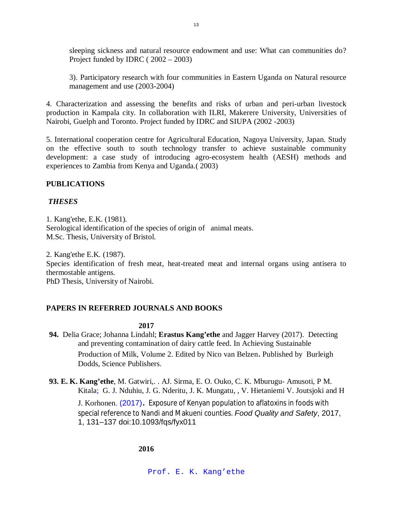sleeping sickness and natural resource endowment and use: What can communities do? Project funded by IDRC ( 2002 – 2003)

3). Participatory research with four communities in Eastern Uganda on Natural resource management and use (2003-2004)

4. Characterization and assessing the benefits and risks of urban and peri-urban livestock production in Kampala city. In collaboration with ILRI, Makerere University, Universities of Nairobi, Guelph and Toronto. Project funded by IDRC and SIUPA (2002 -2003)

5. International cooperation centre for Agricultural Education, Nagoya University, Japan. Study on the effective south to south technology transfer to achieve sustainable community development: a case study of introducing agro-ecosystem health (AESH) methods and experiences to Zambia from Kenya and Uganda.( 2003)

# **PUBLICATIONS**

# *THESES*

1. Kang'ethe, E.K. (1981). Serological identification of the species of origin of animal meats. M.Sc. Thesis, University of Bristol.

2. Kang'ethe E.K. (1987). Species identification of fresh meat, heat-treated meat and internal organs using antisera to thermostable antigens. PhD Thesis, University of Nairobi.

# **PAPERS IN REFERRED JOURNALS AND BOOKS**

## **2017**

- **94.** Delia Grace; Johanna Lindahl; **Erastus Kang'ethe** and Jagger Harvey (2017). Detecting and preventing contamination of dairy cattle feed. In Achieving Sustainable Production of Milk, Volume 2. Edited by Nico van Belzen. Published by Burleigh Dodds, Science Publishers.
- **93. E. K. Kang'ethe**, M. Gatwiri,. . AJ. Sirma, E. O. Ouko, C. K. Mburugu- Amusoti, P M. Kitala; G. J. Nduhiu, J. G. Nderitu, J. K. Mungatu, , V. Hietaniemi V. Joutsjoki and H

J. Korhonen. (2017). Exposure of Kenyan population to aflatoxins in foods with special reference to Nandi and Makueni counties. *Food Quality and Safety*, 2017, 1, 131–137 doi:10.1093/fqs/fyx011

**2016**

Prof. E. K. Kang'ethe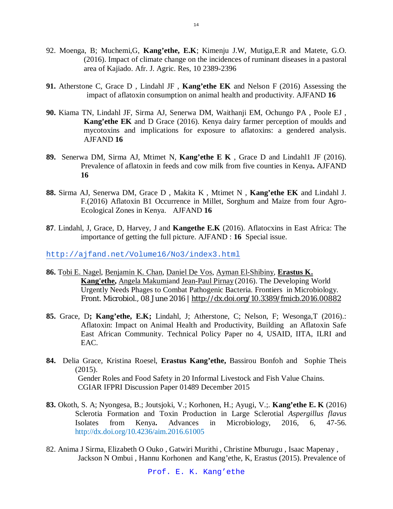- 92. Moenga, B; Muchemi,G, **Kang'ethe, E.K**; Kimenju J.W, Mutiga,E.R and Matete, G.O. (2016). Impact of climate change on the incidences of ruminant diseases in a pastoral area of Kajiado. Afr. J. Agric. Res, 10 2389-2396
- **91.** Atherstone C, Grace D , Lindahl JF , **Kang'ethe EK** and Nelson F (2016) Assessing the impact of aflatoxin consumption on animal health and productivity. AJFAND **16**
- **90.** Kiama TN, Lindahl JF, Sirma AJ, Senerwa DM, Waithanji EM, Ochungo PA , Poole EJ , **Kang'ethe EK** and D Grace (2016). Kenya dairy farmer perception of moulds and mycotoxins and implications for exposure to aflatoxins: a gendered analysis. AJFAND **16**
- **89.** Senerwa DM, Sirma AJ, Mtimet N, **Kang'ethe E K** , Grace D and Lindahl1 JF (2016). Prevalence of aflatoxin in feeds and cow milk from five counties in Kenya**.** AJFAND **16**
- **88.** Sirma AJ, Senerwa DM, Grace D , Makita K , Mtimet N , **Kang'ethe EK** and Lindahl J. F.(2016) Aflatoxin B1 Occurrence in Millet, Sorghum and Maize from four Agro-Ecological Zones in Kenya. AJFAND **16**
- **87**. Lindahl, J, Grace, D, Harvey, J and **Kangethe E.K** (2016). Aflatocxins in East Africa: The importance of getting the full picture. AJFAND : **16** Special issue.

http://ajfand.net/Volume16/No3/index3.html

- **86.** Tobi E. Nagel, Benjamin K. Chan, Daniel De Vos, Ayman El-Shibiny, **Erastus K. Kang'ethe,** Angela Makumiand Jean-Paul Pirnay (2016). The Developing World Urgently Needs Phages to Combat Pathogenic Bacteria. Frontiers in Microbiology. Front. Microbiol., 08 June 2016 | http://dx.doi.org/10.3389/fmicb.2016.00882
- **85.** Grace, D**; Kang'ethe, E.K;** Lindahl, J; Atherstone, C; Nelson, F; Wesonga,T (2016).: Aflatoxin: Impact on Animal Health and Productivity, Building an Aflatoxin Safe East African Community. Technical Policy Paper no 4, USAID, IITA, ILRI and EAC.
- **84.** Delia Grace, Kristina Roesel, **Erastus Kang'ethe,** Bassirou Bonfoh and Sophie Theis (2015). Gender Roles and Food Safety in 20 Informal Livestock and Fish Value Chains. CGIAR IFPRI Discussion Paper 01489 December 2015
- **83.** Okoth, S. A; Nyongesa, B.; Joutsjoki, V.; Korhonen, H.; Ayugi, V.;. **Kang'ethe E. K** (2016) Sclerotia Formation and Toxin Production in Large Sclerotial *Aspergillus flavus* Isolates from Kenya**.** Advances in Microbiology, 2016, 6, 47-56. http://dx.doi.org/10.4236/aim.2016.61005
- 82. Anima J Sirma, Elizabeth O Ouko , Gatwiri Murithi , Christine Mburugu , Isaac Mapenay , Jackson N Ombui , Hannu Korhonen and Kang'ethe, K, Erastus (2015). Prevalence of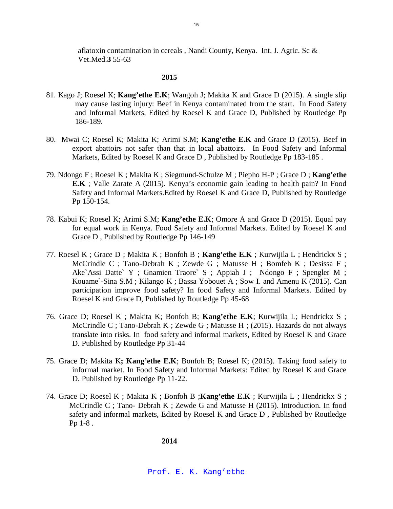aflatoxin contamination in cereals , Nandi County, Kenya. Int. J. Agric. Sc & Vet.Med.**3** 55-63

#### **2015**

- 81. Kago J; Roesel K; **Kang'ethe E.K**; Wangoh J; Makita K and Grace D (2015). A single slip may cause lasting injury: Beef in Kenya contaminated from the start. In Food Safety and Informal Markets, Edited by Roesel K and Grace D, Published by Routledge Pp 186-189.
- 80. Mwai C; Roesel K; Makita K; Arimi S.M; **Kang'ethe E.K** and Grace D (2015). Beef in export abattoirs not safer than that in local abattoirs. In Food Safety and Informal Markets, Edited by Roesel K and Grace D , Published by Routledge Pp 183-185 .
- 79. Ndongo F ; Roesel K ; Makita K ; Siegmund-Schulze M ; Piepho H-P ; Grace D ; **Kang'ethe E.K** ; Valle Zarate A (2015). Kenya's economic gain leading to health pain? In Food Safety and Informal Markets.Edited by Roesel K and Grace D, Published by Routledge Pp 150-154.
- 78. Kabui K; Roesel K; Arimi S.M; **Kang'ethe E.K**; Omore A and Grace D (2015). Equal pay for equal work in Kenya. Food Safety and Informal Markets. Edited by Roesel K and Grace D , Published by Routledge Pp 146-149
- 77. Roesel K ; Grace D ; Makita K ; Bonfoh B ; **Kang'ethe E.K** ; Kurwijila L ; Hendrickx S ; McCrindle C ; Tano-Debrah K ; Zewde G ; Matusse H ; Bomfeh K ; Desissa F ; Ake`Assi Datte` Y ; Gnamien Traore` S ; Appiah J ; Ndongo F ; Spengler M ; Kouame`-Sina S.M ; Kilango K ; Bassa Yobouet A ; Sow I. and Amenu K (2015). Can participation improve food safety? In food Safety and Informal Markets. Edited by Roesel K and Grace D, Published by Routledge Pp 45-68
- 76. Grace D; Roesel K ; Makita K; Bonfoh B; **Kang'ethe E.K**; Kurwijila L; Hendrickx S ; McCrindle C ; Tano-Debrah K ; Zewde G ; Matusse H ; (2015). Hazards do not always translate into risks. In food safety and informal markets, Edited by Roesel K and Grace D. Published by Routledge Pp 31-44
- 75. Grace D; Makita K**; Kang'ethe E.K**; Bonfoh B; Roesel K; (2015). Taking food safety to informal market. In Food Safety and Informal Markets: Edited by Roesel K and Grace D. Published by Routledge Pp 11-22.
- 74. Grace D; Roesel K ; Makita K ; Bonfoh B ;**Kang'ethe E.K** ; Kurwijila L ; Hendrickx S ; McCrindle C ; Tano- Debrah K ; Zewde G and Matusse H (2015). Introduction. In food safety and informal markets, Edited by Roesel K and Grace D , Published by Routledge Pp 1-8 .

**2014**

Prof. E. K. Kang'ethe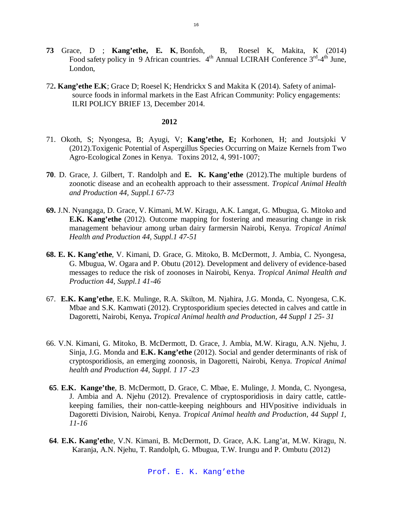- **73** Grace, D ; **Kang'ethe, E. K**, Bonfoh, B, Roesel K, Makita, K (2014) Food safety policy in 9 African countries. 4<sup>th</sup> Annual LCIRAH Conference 3<sup>rd</sup>-4<sup>th</sup> June, London,
- 72**. Kang'ethe E.K**; Grace D; Roesel K; Hendrickx S and Makita K (2014). Safety of animalsource foods in informal markets in the East African Community: Policy engagements: ILRI POLICY BRIEF 13, December 2014.

- 71. Okoth, S; Nyongesa, B; Ayugi, V; **Kang'ethe, E;** Korhonen, H; and Joutsjoki V (2012).Toxigenic Potential of Aspergillus Species Occurring on Maize Kernels from Two Agro-Ecological Zones in Kenya. Toxins 2012, 4, 991-1007;
- **70**. D. Grace, J. Gilbert, T. Randolph and **E. K. Kang'ethe** (2012).The multiple burdens of zoonotic disease and an ecohealth approach to their assessment. *Tropical Animal Health and Production 44, Suppl.1 67-73*
- **69.** J.N. Nyangaga, D. Grace, V. Kimani, M.W. Kiragu, A.K. Langat, G. Mbugua, G. Mitoko and **E.K. Kang'ethe** (2012). Outcome mapping for fostering and measuring change in risk management behaviour among urban dairy farmersin Nairobi, Kenya. *Tropical Animal Health and Production 44, Suppl.1 47-51*
- **68. E. K. Kang'ethe**, V. Kimani, D. Grace, G. Mitoko, B. McDermott, J. Ambia, C. Nyongesa, G. Mbugua, W. Ogara and P. Obutu (2012). Development and delivery of evidence-based messages to reduce the risk of zoonoses in Nairobi, Kenya. *Tropical Animal Health and Production 44, Suppl.1 41-46*
- 67. **E.K. Kang'ethe**, E.K. Mulinge, R.A. Skilton, M. Njahira, J.G. Monda, C. Nyongesa, C.K. Mbae and S.K. Kamwati (2012). Cryptosporidium species detected in calves and cattle in Dagoretti, Nairobi, Kenya**.** *Tropical Animal health and Production, 44 Suppl 1 25- 31*
- 66. V.N. Kimani, G. Mitoko, B. McDermott, D. Grace, J. Ambia, M.W. Kiragu, A.N. Njehu, J. Sinja, J.G. Monda and **E.K. Kang'ethe** (2012). Social and gender determinants of risk of cryptosporidiosis, an emerging zoonosis, in Dagoretti, Nairobi, Kenya. *Tropical Animal health and Production 44, Suppl. 1 17 -23*
- **65**. **E.K. Kange'the**, B. McDermott, D. Grace, C. Mbae, E. Mulinge, J. Monda, C. Nyongesa, J. Ambia and A. Njehu (2012). Prevalence of cryptosporidiosis in dairy cattle, cattlekeeping families, their non-cattle-keeping neighbours and HIVpositive individuals in Dagoretti Division, Nairobi, Kenya. *Tropical Animal health and Production, 44 Suppl 1, 11-16*
- **64**. **E.K. Kang'eth**e, V.N. Kimani, B. McDermott, D. Grace, A.K. Lang'at, M.W. Kiragu, N. Karanja, A.N. Njehu, T. Randolph, G. Mbugua, T.W. Irungu and P. Ombutu (2012)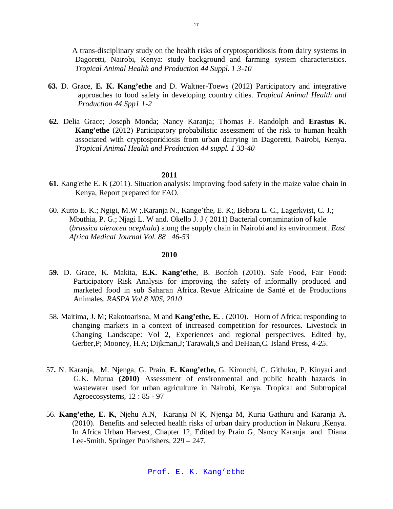A trans-disciplinary study on the health risks of cryptosporidiosis from dairy systems in Dagoretti, Nairobi, Kenya: study background and farming system characteristics. *Tropical Animal Health and Production 44 Suppl. 1 3-10*

- **63.** D. Grace, **E. K. Kang'ethe** and D. Waltner-Toews (2012) Participatory and integrative approaches to food safety in developing country cities. *Tropical Animal Health and Production 44 Spp1 1-2*
- **62.** Delia Grace; Joseph Monda; Nancy Karanja; Thomas F. Randolph and **Erastus K. Kang'ethe** (2012) Participatory probabilistic assessment of the risk to human health associated with cryptosporidiosis from urban dairying in Dagoretti, Nairobi, Kenya. *Tropical Animal Health and Production 44 suppl. 1 33-40*

#### **2011**

- **61.** Kang'ethe E. K (2011). Situation analysis: improving food safety in the maize value chain in Kenya, Report prepared for FAO.
- 60. Kutto E. K.; Ngigi, M.W ;.Karanja N., Kange'the, E. K;, Bebora L. C., Lagerkvist, C. J.; Mbuthia, P. G.; Njagi L. W and. Okello J. J ( 2011) Bacterial contamination of kale (*brassica oleracea acephala*) along the supply chain in Nairobi and its environment. *East Africa Medical Journal Vol. 88 46-53*

- **59.** D. Grace, K. Makita, **E.K. Kang'ethe**, B. Bonfoh (2010). Safe Food, Fair Food: Participatory Risk Analysis for improving the safety of informally produced and marketed food in sub Saharan Africa. Revue Africaine de Santé et de Productions Animales. *RASPA Vol.8 N0S, 2010*
- 58. Maitima, J. M; Rakotoarisoa, M and **Kang'ethe, E.** . (2010). Horn of Africa: responding to changing markets in a context of increased competition for resources. Livestock in Changing Landscape: Vol 2, Experiences and regional perspectives. Edited by, Gerber,P; Mooney, H.A; Dijkman,J; Tarawali,S and DeHaan,C. Island Press*, 4-25*.
- 57**.** N. Karanja, M. Njenga, G. Prain, **E. Kang'ethe,** G. Kironchi, C. Githuku, P. Kinyari and G.K. Mutua **(2010)** Assessment of environmental and public health hazards in wastewater used for urban agriculture in Nairobi, Kenya. Tropical and Subtropical Agroecosystems, 12 : 85 - 97
- 56. **Kang'ethe, E. K**, Njehu A.N, Karanja N K, Njenga M, Kuria Gathuru and Karanja A. (2010). Benefits and selected health risks of urban dairy production in Nakuru ,Kenya. In Africa Urban Harvest, Chapter 12, Edited by Prain G, Nancy Karanja and Diana Lee-Smith. Springer Publishers, 229 – 247.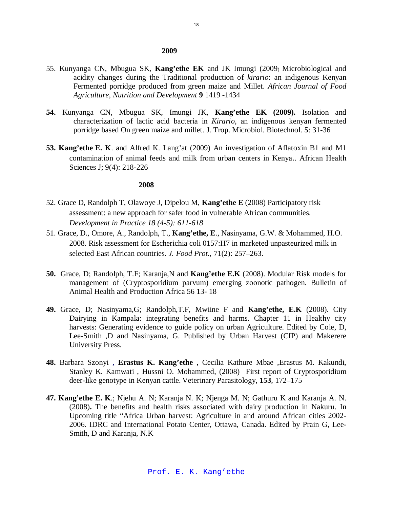#### **2009**

- 55. Kunyanga CN, Mbugua SK, **Kang'ethe EK** and JK Imungi (2009) Microbiological and acidity changes during the Traditional production of *kirario*: an indigenous Kenyan Fermented porridge produced from green maize and Millet. *African Journal of Food Agriculture, Nutrition and Development* **9** 1419 -1434
- **54.** Kunyanga CN, Mbugua SK, Imungi JK, **Kang'ethe EK (2009).** Isolation and characterization of lactic acid bacteria in *Kirario*, an indigenous kenyan fermented porridge based On green maize and millet. J. Trop. Microbiol. Biotechnol. **5**: 31-36
- **53. Kang'ethe E. K**. and Alfred K. Lang'at (2009) An investigation of Aflatoxin B1 and M1 contamination of animal feeds and milk from urban centers in Kenya.. African Health Sciences J; 9(4): 218-226

- 52. Grace D, Randolph T, Olawoye J, Dipelou M, **Kang'ethe E** (2008) Participatory risk assessment: a new approach for safer food in vulnerable African communities. *Development in Practice 18 (4-5): 611-618*
- 51. Grace, D., Omore, A., Randolph, T., **Kang'ethe, E**., Nasinyama, G.W. & Mohammed, H.O. 2008. Risk assessment for Escherichia coli 0157:H7 in marketed unpasteurized milk in selected East African countries*. J. Food Prot.,* 71(2): 257–263.
- **50.** Grace, D; Randolph, T.F; Karanja,N and **Kang'ethe E.K** (2008). Modular Risk models for management of (Cryptosporidium parvum) emerging zoonotic pathogen. Bulletin of Animal Health and Production Africa 56 13- 18
- **49.** Grace, D; Nasinyama,G; Randolph,T.F, Mwiine F and **Kang'ethe, E.K** (2008). City Dairying in Kampala: integrating benefits and harms. Chapter 11 in Healthy city harvests: Generating evidence to guide policy on urban Agriculture. Edited by Cole, D, Lee-Smith ,D and Nasinyama, G. Published by Urban Harvest (CIP) and Makerere University Press.
- **48.** Barbara Szonyi , **Erastus K. Kang'ethe** , Cecilia Kathure Mbae ,Erastus M. Kakundi, Stanley K. Kamwati , Hussni O. Mohammed, (2008) First report of Cryptosporidium deer-like genotype in Kenyan cattle. Veterinary Parasitology, **153**, 172–175
- **47. Kang'ethe E. K**.; Njehu A. N; Karanja N. K; Njenga M. N; Gathuru K and Karanja A. N. (2008)**.** The benefits and health risks associated with dairy production in Nakuru. In Upcoming title "Africa Urban harvest: Agriculture in and around African cities 2002- 2006. IDRC and International Potato Center, Ottawa, Canada. Edited by Prain G, Lee-Smith, D and Karanja, N.K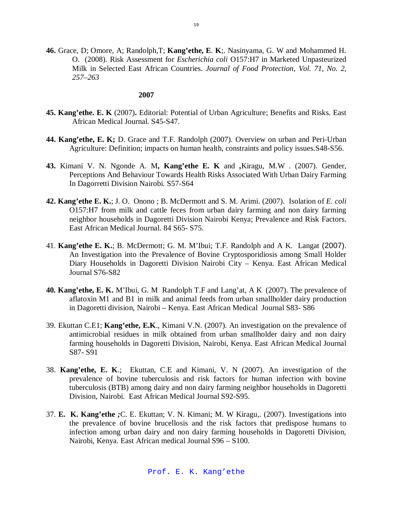**46.** Grace, D; Omore, A; Randolph,T; **Kang'ethe, E**. **K**;. Nasinyama, G. W and Mohammed H. O. (2008). Risk Assessment for *Escherichia coli* O157:H7 in Marketed Unpasteurized Milk in Selected East African Countries. *Journal of Food Protection, Vol. 71, No. 2, 257–263*

- **45. Kang'ethe. E. K** (2007)**.** Editorial: Potential of Urban Agriculture; Benefits and Risks. East African Medical Journal. S45-S47.
- **44. Kang'ethe, E. K;** D. Grace and T.F. Randolph (2007). Overview on urban and Peri-Urban Agriculture: Definition; impacts on human health, constraints and policy issues.S48-S56.
- **43.** Kimani V. N. Ngonde A. M**, Kang'ethe E. K** and **,**Kiragu, M.W . (2007). Gender, Perceptions And Behaviour Towards Health Risks Associated With Urban Dairy Farming In Dagorretti Division Nairobi. S57-S64
- **42. Kang'ethe E. K.**; J. O. Onono ; B. McDermott and S. M. Arimi. (2007). Isolation of *E. coli* O157:H7 from milk and cattle feces from urban dairy farming and non dairy farming neighbor households in Dagoretti Division Nairobi Kenya; Prevalence and Risk Factors. East African Medical Journal. 84 S65- S75.
- 41. **Kang'ethe E. K.**; B. McDermott; G. M. M'Ibui; T.F. Randolph and A K. Langat (2007). An Investigation into the Prevalence of Bovine Cryptosporidiosis among Small Holder Diary Households in Dagoretti Division Nairobi City – Kenya. East African Medical Journal S76-S82
- **40***.* **Kang'ethe, E. K.** M'Ibui, G. M Randolph T.F and Lang'at, A K (2007). The prevalence of aflatoxin M1 and B1 in milk and animal feeds from urban smallholder dairy production in Dagoretti division, Nairobi – Kenya. East African Medical Journal S83- S86
- 39. Ekuttan C.E1; **Kang'ethe, E.K**., Kimani V.N. (2007). An investigation on the prevalence of antimicrobial residues in milk obtained from urban smallholder dairy and non dairy farming households in Dagoretti Division, Nairobi, Kenya. East African Medical Journal S87- S91
- 38. **Kang'ethe, E. K**.; Ekuttan, C.E and Kimani, V. N (2007). An investigation of the prevalence of bovine tuberculosis and risk factors for human infection with bovine tuberculosis (BTB) among dairy and non dairy farming neighbor households in Dagoretti Division, Nairobi. East African Medical Journal S92-S95.
- 37. **E. K. Kang'ethe** *;*C. E. Ekuttan; V. N. Kimani; M. W Kiragu,. (2007). Investigations into the prevalence of bovine brucellosis and the risk factors that predispose humans to infection among urban dairy and non dairy farming households in Dagoretti Division, Nairobi, Kenya. East African medical Journal S96 – S100.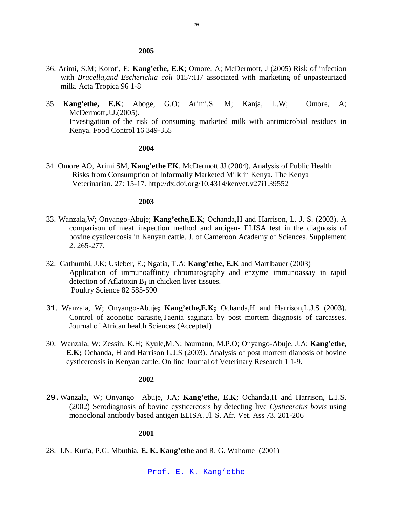#### **2005**

- 36. Arimi, S.M; Koroti, E; **Kang'ethe, E.K**; Omore, A; McDermott, J (2005) Risk of infection with *Brucella,and Escherichia coli* 0157:H7 associated with marketing of unpasteurized milk. Acta Tropica 96 1-8
- 35 **Kang'ethe, E.K**; Aboge, G.O; Arimi,S. M; Kanja, L.W; Omore, A; McDermott,J.J.(2005). Investigation of the risk of consuming marketed milk with antimicrobial residues in Kenya. Food Control 16 349-355

### **2004**

34. Omore AO, Arimi SM, **Kang'ethe EK**, McDermott JJ (2004). Analysis of Public Health Risks from Consumption of Informally Marketed Milk in Kenya. The Kenya Veterinarian. 27: 15-17. http://dx.doi.org/10.4314/kenvet.v27i1.39552

#### **2003**

- 33. Wanzala,W; Onyango-Abuje; **Kang'ethe,E.K**; Ochanda,H and Harrison, L. J. S. (2003). A comparison of meat inspection method and antigen- ELISA test in the diagnosis of bovine cysticercosis in Kenyan cattle. J. of Cameroon Academy of Sciences. Supplement 2. 265-277.
- 32. Gathumbi, J.K; Usleber, E.; Ngatia, T.A; **Kang'ethe, E.K** and Martlbauer (2003) Application of immunoaffinity chromatography and enzyme immunoassay in rapid detection of Aflatoxin  $B_1$  in chicken liver tissues. Poultry Science 82 585-590
- 31. Wanzala, W; Onyango-Abuje**; Kang'ethe,E.K;** Ochanda,H and Harrison,L.J.S (2003). Control of zoonotic parasite,Taenia saginata by post mortem diagnosis of carcasses. Journal of African health Sciences (Accepted)
- 30. Wanzala, W; Zessin, K.H; Kyule,M.N; baumann, M.P.O; Onyango-Abuje, J.A; **Kang'ethe, E.K;** Ochanda, H and Harrison L.J.S (2003). Analysis of post mortem dianosis of bovine cysticercosis in Kenyan cattle. On line Journal of Veterinary Research 1 1-9.

### **2002**

29.Wanzala, W; Onyango –Abuje, J.A; **Kang'ethe, E.K**; Ochanda,H and Harrison, L.J.S. (2002) Serodiagnosis of bovine cysticercosis by detecting live *Cysticercius bovis* using monoclonal antibody based antigen ELISA. Jl. S. Afr. Vet. Ass 73. 201-206

#### **2001**

28. J.N. Kuria, P.G. Mbuthia, **E. K. Kang'ethe** and R. G. Wahome (2001)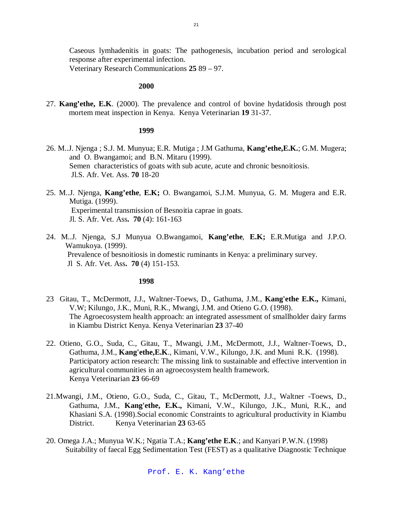Caseous lymhadenitis in goats: The pathogenesis, incubation period and serological response after experimental infection.

Veterinary Research Communications **25** 89 – 97.

### **2000**

27. **Kang'ethe, E.K**. (2000). The prevalence and control of bovine hydatidosis through post mortem meat inspection in Kenya. Kenya Veterinarian **19** 31-37.

#### **1999**

- 26. M..J. Njenga ; S.J. M. Munyua; E.R. Mutiga ; J.M Gathuma, **Kang'ethe,E.K.**; G.M. Mugera; and O. Bwangamoi; and B.N. Mitaru (1999). Semen characteristics of goats with sub acute, acute and chronic besnoitiosis. Jl.S. Afr. Vet. Ass. **70** 18-20
- 25. M..J. Njenga, **Kang'ethe**, **E.K;** O. Bwangamoi, S.J.M. Munyua, G. M. Mugera and E.R. Mutiga. (1999). Experimental transmission of Besnoitia caprae in goats. Jl. S. Afr. Vet. Ass**. 70** (4): 161-163
- 24. M..J. Njenga, S.J Munyua O.Bwangamoi, **Kang'ethe**, **E.K;** E.R.Mutiga and J.P.O. Wamukoya. (1999). Prevalence of besnoitiosis in domestic ruminants in Kenya: a preliminary survey. Jl S. Afr. Vet. Ass**. 70** (4) 151-153.

- 23 Gitau, T., McDermott, J.J., Waltner-Toews, D., Gathuma, J.M., **Kang'ethe E.K.,** Kimani, V.W; Kilungo, J.K., Muni, R.K., Mwangi, J.M. and Otieno G.O. (1998). The Agroecosystem health approach: an integrated assessment of smallholder dairy farms in Kiambu District Kenya. Kenya Veterinarian **23** 37-40
- 22. Otieno, G.O., Suda, C., Gitau, T., Mwangi, J.M., McDermott, J.J., Waltner-Toews, D., Gathuma, J.M., **Kang'ethe,E.K**., Kimani, V.W., Kilungo, J.K. and Muni R.K. (1998). Participatory action research: The missing link to sustainable and effective intervention in agricultural communities in an agroecosystem health framework. Kenya Veterinarian **23** 66-69
- 21.Mwangi, J.M., Otieno, G.O., Suda, C., Gitau, T., McDermott, J.J., Waltner -Toews, D., Gathuma, J.M., **Kang'ethe, E.K.,** Kimani, V.W., Kilungo, J.K., Muni, R.K., and Khasiani S.A. (1998).Social economic Constraints to agricultural productivity in Kiambu District. Kenya Veterinarian **23** 63-65
- 20. Omega J.A.; Munyua W.K.; Ngatia T.A.; **Kang'ethe E.K**.; and Kanyari P.W.N. (1998) Suitability of faecal Egg Sedimentation Test (FEST) as a qualitative Diagnostic Technique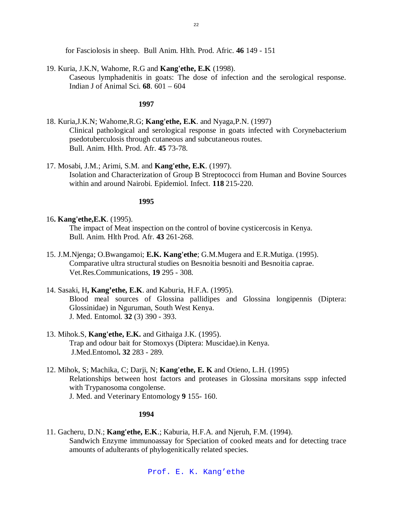for Fasciolosis in sheep. Bull Anim. Hlth. Prod. Afric. **46** 149 - 151

- 19. Kuria, J.K.N, Wahome, R.G and **Kang'ethe, E.K** (1998).
	- Caseous lymphadenitis in goats: The dose of infection and the serological response. Indian J of Animal Sci. **68**. 601 – 604

**1997**

- 18. Kuria,J.K.N; Wahome,R.G; **Kang'ethe, E.K**. and Nyaga,P.N. (1997) Clinical pathological and serological response in goats infected with Corynebacterium psedotuberculosis through cutaneous and subcutaneous routes. Bull. Anim. Hlth. Prod. Afr. **45** 73-78.
- 17. Mosabi, J.M.; Arimi, S.M. and **Kang'ethe, E.K**. (1997). Isolation and Characterization of Group B Streptococci from Human and Bovine Sources within and around Nairobi. Epidemiol. Infect. **118** 215-220.

### **1995**

16**. Kang'ethe,E.K**. (1995).

The impact of Meat inspection on the control of bovine cysticercosis in Kenya. Bull. Anim. Hlth Prod. Afr. **43** 261-268.

- 15. J.M.Njenga; O.Bwangamoi; **E.K. Kang'ethe**; G.M.Mugera and E.R.Mutiga. (1995). Comparative ultra structural studies on Besnoitia besnoiti and Besnoitia caprae. Vet.Res.Communications, **19** 295 - 308.
- 14. Sasaki, H**, Kang'ethe, E.K**. and Kaburia, H.F.A. (1995). Blood meal sources of Glossina pallidipes and Glossina longipennis (Diptera: Glossinidae) in Nguruman, South West Kenya. J. Med. Entomol. **32** (3) 390 - 393.
- 13. Mihok.S, **Kang'ethe, E.K.** and Githaiga J.K. (1995). Trap and odour bait for Stomoxys (Diptera: Muscidae).in Kenya. J.Med.Entomol**. 32** 283 - 289.
- 12. Mihok, S; Machika, C; Darji, N; **Kang'ethe, E. K** and Otieno, L.H. (1995) Relationships between host factors and proteases in Glossina morsitans sspp infected with Trypanosoma congolense. J. Med. and Veterinary Entomology **9** 155- 160.

#### **1994**

11. Gacheru, D.N.; **Kang'ethe, E.K**.; Kaburia, H.F.A. and Njeruh, F.M. (1994). Sandwich Enzyme immunoassay for Speciation of cooked meats and for detecting trace amounts of adulterants of phylogenitically related species.

Prof. E. K. Kang'ethe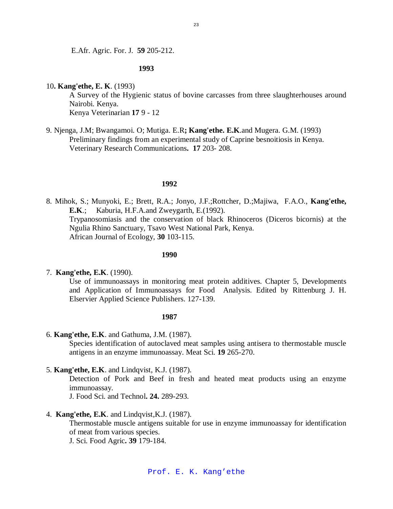E.Afr. Agric. For. J. **59** 205-212.

### **1993**

### 10**. Kang'ethe, E. K**. (1993)

A Survey of the Hygienic status of bovine carcasses from three slaughterhouses around Nairobi. Kenya. Kenya Veterinarian **17** 9 - 12

9. Njenga, J.M; Bwangamoi. O; Mutiga. E.R**; Kang'ethe. E.K**.and Mugera. G.M. (1993) Preliminary findings from an experimental study of Caprine besnoitiosis in Kenya. Veterinary Research Communications**. 17** 203- 208.

### **1992**

8. Mihok, S.; Munyoki, E.; Brett, R.A.; Jonyo, J.F.;Rottcher, D.;Majiwa, F.A.O., **Kang'ethe, E.K**.; Kaburia, H.F.A.and Zweygarth, E.(1992). Trypanosomiasis and the conservation of black Rhinoceros (Diceros bicornis) at the Ngulia Rhino Sanctuary, Tsavo West National Park, Kenya. African Journal of Ecology, **30** 103-115.

### **1990**

#### 7. **Kang'ethe, E.K**. (1990).

Use of immunoassays in monitoring meat protein additives. Chapter 5, Developments and Application of Immunoassays for Food Analysis. Edited by Rittenburg J. H. Elservier Applied Science Publishers. 127-139.

#### **1987**

6. **Kang'ethe, E.K**. and Gathuma, J.M. (1987).

Species identification of autoclaved meat samples using antisera to thermostable muscle antigens in an enzyme immunoassay. Meat Sci. **19** 265-270.

5. **Kang'ethe, E.K**. and Lindqvist, K.J. (1987).

Detection of Pork and Beef in fresh and heated meat products using an enzyme immunoassay.

J. Food Sci. and Technol**. 24.** 289-293.

4. **Kang'ethe, E.K**. and Lindqvist,K.J. (1987).

Thermostable muscle antigens suitable for use in enzyme immunoassay for identification of meat from various species.

J. Sci. Food Agric**. 39** 179-184.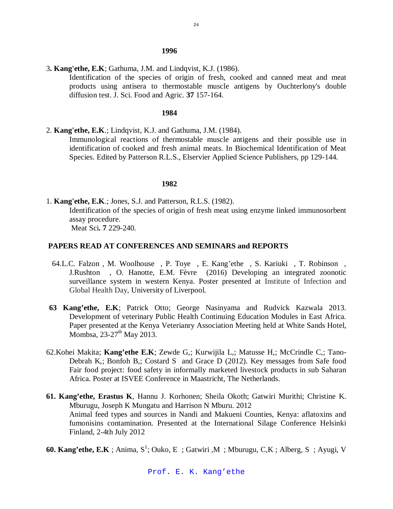#### 24

#### **1996**

3**. Kang'ethe, E.K**; Gathuma, J.M. and Lindqvist, K.J. (1986).

Identification of the species of origin of fresh, cooked and canned meat and meat products using antisera to thermostable muscle antigens by Ouchterlony's double diffusion test. J. Sci. Food and Agric. **37** 157-164.

#### **1984**

2. **Kang'ethe, E.K**.; Lindqvist, K.J. and Gathuma, J.M. (1984).

Immunological reactions of thermostable muscle antigens and their possible use in identification of cooked and fresh animal meats. In Biochemical Identification of Meat Species. Edited by Patterson R.L.S., Elservier Applied Science Publishers, pp 129-144.

### **1982**

1. **Kang'ethe, E.K**.; Jones, S.J. and Patterson, R.L.S. (1982). Identification of the species of origin of fresh meat using enzyme linked immunosorbent assay procedure. Meat Sci**. 7** 229-240.

### **PAPERS READ AT CONFERENCES AND SEMINARS and REPORTS**

- 64.L.C. Falzon , M. Woolhouse , P. Toye , E. Kang'ethe , S. Kariuki , T. Robinson , J.Rushton , O. Hanotte, E.M. Fèvre (2016) Developing an integrated zoonotic surveillance system in western Kenya. Poster presented at Institute of Infection and Global Health Day, University of Liverpool.
- **63 Kang'ethe, E.K**; Patrick Otto; George Nasinyama and Rudvick Kazwala 2013. Development of veterinary Public Health Continuing Education Modules in East Africa. Paper presented at the Kenya Veterianry Association Meeting held at White Sands Hotel, Mombsa,  $23-27$ <sup>th</sup> May 2013.
- 62.Kohei Makita; **Kang'ethe E.K**; Zewde G,; Kurwijila L,; Matusse H,; McCrindle C,; Tano-Debrah K,; Bonfoh B,; Costard S and Grace D (2012). Key messages from Safe food Fair food project: food safety in informally marketed livestock products in sub Saharan Africa. Poster at ISVEE Conference in Maastricht, The Netherlands.
- **61. Kang'ethe, Erastus K**, Hannu J. Korhonen; Sheila Okoth; Gatwiri Murithi; Christine K. Mburugu, Joseph K Mungatu and Harrison N Mburu. 2012 Animal feed types and sources in Nandi and Makueni Counties, Kenya: aflatoxins and fumonisins contamination. Presented at the International Silage Conference Helsinki Finland, 2-4th July 2012
- **60. Kang'ethe, E.K**; Anima, S<sup>1</sup>; Ouko, E; Gatwiri, M; Mburugu, C,K; Alberg, S; Ayugi, V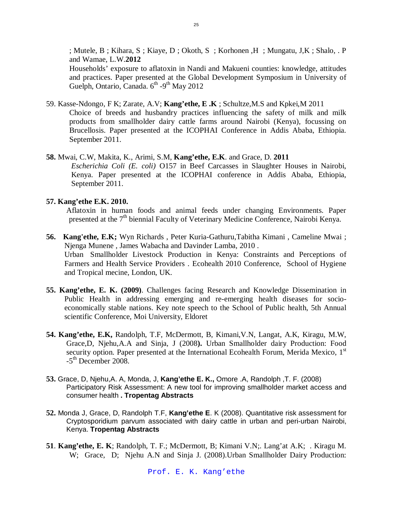; Mutele, B ; Kihara, S ; Kiaye, D ; Okoth, S ; Korhonen ,H ; Mungatu, J,K ; Shalo, . P and Wamae, L.W.**2012**

Households' exposure to aflatoxin in Nandi and Makueni counties: knowledge, attitudes and practices. Paper presented at the Global Development Symposium in University of Guelph, Ontario, Canada. 6<sup>th</sup> -9<sup>th</sup> May 2012

- 59. Kasse-Ndongo, F K; Zarate, A.V; **Kang'ethe, E .K** ; Schultze,M.S and Kpkei,M 2011 Choice of breeds and husbandry practices influencing the safety of milk and milk products from smallholder dairy cattle farms around Nairobi (Kenya), focussing on Brucellosis. Paper presented at the ICOPHAI Conference in Addis Ababa, Ethiopia. September 2011.
- **58.** Mwai, C.W, Makita, K., Arimi, S.M, **Kang'ethe, E.K**. and Grace, D. **2011** *Escherichia Coli (E. coli)* O157 in Beef Carcasses in Slaughter Houses in Nairobi, Kenya. Paper presented at the ICOPHAI conference in Addis Ababa, Ethiopia, September 2011.

## **57. Kang'ethe E.K. 2010.**

Aflatoxin in human foods and animal feeds under changing Environments. Paper presented at the 7<sup>th</sup> biennial Faculty of Veterinary Medicine Conference, Nairobi Kenya.

- **56. Kang'ethe, E.K;** Wyn Richards , Peter Kuria-Gathuru,Tabitha Kimani , Cameline Mwai ; Njenga Munene , James Wabacha and Davinder Lamba, 2010 . Urban Smallholder Livestock Production in Kenya: Constraints and Perceptions of Farmers and Health Service Providers . Ecohealth 2010 Conference, School of Hygiene and Tropical mecine, London, UK.
- **55. Kang'ethe, E. K. (2009)**. Challenges facing Research and Knowledge Dissemination in Public Health in addressing emerging and re-emerging health diseases for socioeconomically stable nations. Key note speech to the School of Public health, 5th Annual scientific Conference, Moi University, Eldoret
- **54. Kang'ethe, E.K,** Randolph, T.F, McDermott, B, Kimani,V.N, Langat, A.K, Kiragu, M.W, Grace,D, Njehu,A.A and Sinja, J (2008**).** Urban Smallholder dairy Production: Food security option. Paper presented at the International Ecohealth Forum, Merida Mexico, 1<sup>st</sup> -5<sup>th</sup> December 2008.
- **53.** Grace, D, Njehu,A. A, Monda, J, **Kang'ethe E. K.,** Omore .A, Randolph ,T. F. (2008) Participatory Risk Assessment: A new tool for improving smallholder market access and consumer health **. Tropentag Abstracts**
- **52.** Monda J, Grace, D, Randolph T.F, **Kang'ethe E**. K (2008). Quantitative risk assessment for Cryptosporidium parvum associated with dairy cattle in urban and peri-urban Nairobi, Kenya. **Tropentag Abstracts**
- **51**. **Kang'ethe, E. K**; Randolph, T. F.; McDermott, B; Kimani V.N;. Lang'at A.K; . Kiragu M. W; Grace, D; Njehu A.N and Sinja J. (2008).Urban Smallholder Dairy Production: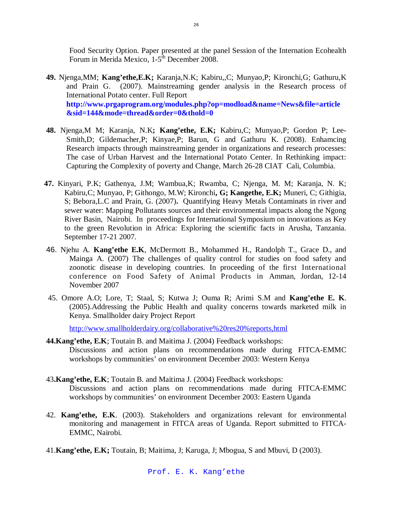Food Security Option. Paper presented at the panel Session of the Internation Ecohealth Forum in Merida Mexico, 1-5<sup>th</sup> December 2008.

- **49.** Njenga,MM; **Kang'ethe,E.K;** Karanja,N.K; Kabiru,,C; Munyao,P; Kironchi,G; Gathuru,K and Prain G. (2007). Mainstreaming gender analysis in the Research process of International Potato center. Full Report **http://www.prgaprogram.org/modules.php?op=modload&name=News&file=article &sid=144&mode=thread&order=0&thold=0**
- **48.** Njenga,M M; Karanja, N.K**; Kang'ethe, E.K;** Kabiru,C; Munyao,P; Gordon P; Lee-Smith,D; Gildemacher,P; Kinyae,P; Barun, G and Gathuru K. (2008). Enhamcing Research impacts through mainstreaming gender in organizations and research processes: The case of Urban Harvest and the International Potato Center. In Rethinking impact: Capturing the Complexity of poverty and Change, March 26-28 CIAT Cali, Columbia.
- **47.** Kinyari, P.K; Gathenya, J.M; Wambua,K; Rwamba, C; Njenga, M. M; Karanja, N. K; Kabiru,C; Munyao, P; Githongo, M.W; Kironchi**, G; Kangethe, E.K;** Muneri, C; Githigia, S; Bebora,L.C and Prain, G. (2007)**.** Quantifying Heavy Metals Contaminats in river and sewer water: Mapping Pollutants sources and their environmental impacts along the Ngong River Basin, Nairobi. In proceedings for International Symposium on innovations as Key to the green Revolution in Africa: Exploring the scientific facts in Arusha, Tanzania. September 17-21 2007.
- 46. Njehu A. **Kang'ethe E.K**, McDermott B., Mohammed H., Randolph T., Grace D., and Mainga A. (2007) The challenges of quality control for studies on food safety and zoonotic disease in developing countries. In proceeding of the first International conference on Food Safety of Animal Products in Amman, Jordan, 12-14 November 2007
- 45. Omore A.O; Lore, T; Staal, S; Kutwa J; Ouma R; Arimi S.M and **Kang'ethe E. K**. (2005).Addressing the Public Health and quality concerns towards marketed milk in Kenya. Smallholder dairy Project Report

http://www.smallholderdairy.org/collaborative%20res20%reports,html

- **44.Kang'ethe, E.K**; Toutain B. and Maitima J. (2004) Feedback workshops: Discussions and action plans on recommendations made during FITCA-EMMC workshops by communities' on environment December 2003: Western Kenya
- 43**.Kang'ethe, E.K**; Toutain B. and Maitima J. (2004) Feedback workshops: Discussions and action plans on recommendations made during FITCA-EMMC workshops by communities' on environment December 2003: Eastern Uganda
- 42. **Kang'ethe, E.K**. (2003). Stakeholders and organizations relevant for environmental monitoring and management in FITCA areas of Uganda. Report submitted to FITCA-EMMC, Nairobi.
- 41.**Kang'ethe, E.K;** Toutain, B; Maitima, J; Karuga, J; Mbogua, S and Mbuvi, D (2003).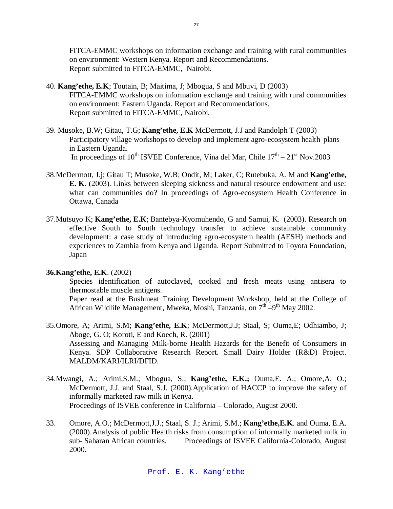FITCA-EMMC workshops on information exchange and training with rural communities on environment: Western Kenya. Report and Recommendations. Report submitted to FITCA-EMMC, Nairobi.

- 40. **Kang'ethe, E.K**; Toutain, B; Maitima, J; Mbogua, S and Mbuvi, D (2003) FITCA-EMMC workshops on information exchange and training with rural communities on environment: Eastern Uganda. Report and Recommendations. Report submitted to FITCA-EMMC, Nairobi.
- 39. Musoke, B.W; Gitau, T.G; **Kang'ethe, E.K** McDermott, J.J and Randolph T (2003) Participatory village workshops to develop and implement agro-ecosystem health plans in Eastern Uganda. In proceedings of 10<sup>th</sup> ISVEE Conference, Vina del Mar, Chile  $17<sup>th</sup> - 21<sup>st</sup>$  Nov.2003
- 38.McDermott, J.j; Gitau T; Musoke, W.B; Ondit, M; Laker, C; Rutebuka, A. M and **Kang'ethe, E. K**. (2003). Links between sleeping sickness and natural resource endowment and use: what can communities do? In proceedings of Agro-ecosystem Health Conference in Ottawa, Canada
- 37.Mutsuyo K; **Kang'ethe, E.K**; Bantebya-Kyomuhendo, G and Samui, K. (2003). Research on effective South to South technology transfer to achieve sustainable community development: a case study of introducing agro-ecosystem health (AESH) methods and experiences to Zambia from Kenya and Uganda. Report Submitted to Toyota Foundation, Japan

## **36.Kang'ethe, E.K**. (2002)

Species identification of autoclaved, cooked and fresh meats using antisera to thermostable muscle antigens.

Paper read at the Bushmeat Training Development Workshop, held at the College of African Wildlife Management, Mweka, Moshi, Tanzania, on 7<sup>th</sup> –9<sup>th</sup> May 2002.

- 35.Omore, A; Arimi, S.M; **Kang'ethe, E.K**; McDermott,J.J; Staal, S; Ouma,E; Odhiambo, J; Aboge, G. O; Koroti, E and Koech, R. (2001) Assessing and Managing Milk-borne Health Hazards for the Benefit of Consumers in Kenya. SDP Collaborative Research Report. Small Dairy Holder (R&D) Project. MALDM/KARI/ILRI/DFID.
- 34.Mwangi, A.; Arimi,S.M.; Mbogua, S.; **Kang'ethe, E.K.;** Ouma,E. A.; Omore,A. O.; McDermott, J.J. and Staal, S.J. (2000).Application of HACCP to improve the safety of informally marketed raw milk in Kenya. Proceedings of ISVEE conference in California – Colorado, August 2000.
- 33. Omore, A.O.; McDermott,J.J.; Staal, S. J.; Arimi, S.M.; **Kang'ethe,E.K**. and Ouma, E.A. (2000).Analysis of public Health risks from consumption of informally marketed milk in sub- Saharan African countries. Proceedings of ISVEE California-Colorado, August 2000.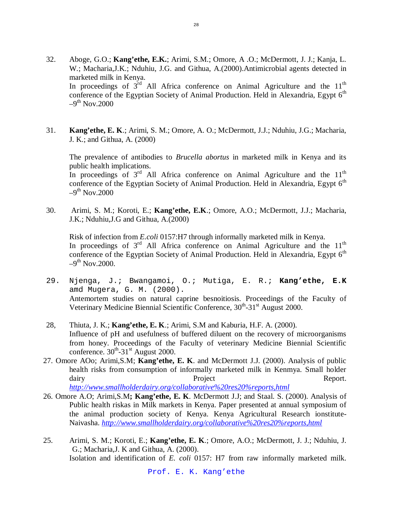- 32. Aboge, G.O.; **Kang'ethe, E.K.**; Arimi, S.M.; Omore, A .O.; McDermott, J. J.; Kanja, L. W.; Macharia,J.K.; Nduhiu, J.G. and Githua, A.(2000).Antimicrobial agents detected in marketed milk in Kenya. In proceedings of  $3^{\text{rd}}$  All Africa conference on Animal Agriculture and the  $11^{\text{th}}$ conference of the Egyptian Society of Animal Production. Held in Alexandria, Egypt  $6<sup>th</sup>$  $-9^{\text{th}}$  Nov.2000
- 31. **Kang'ethe, E. K**.; Arimi, S. M.; Omore, A. O.; McDermott, J.J.; Nduhiu, J.G.; Macharia, J. K.; and Githua, A. (2000)

The prevalence of antibodies to *Brucella abortus* in marketed milk in Kenya and its public health implications.

In proceedings of  $3<sup>rd</sup>$  All Africa conference on Animal Agriculture and the  $11<sup>th</sup>$ conference of the Egyptian Society of Animal Production. Held in Alexandria, Egypt  $6<sup>th</sup>$  $-9^{\text{th}}$  Nov.2000

30. Arimi, S. M.; Koroti, E.; **Kang'ethe, E.K**.; Omore, A.O.; McDermott, J.J.; Macharia, J.K.; Nduhiu,J.G and Githua, A.(2000)

Risk of infection from *E.coli* 0157:H7 through informally marketed milk in Kenya. In proceedings of  $3<sup>rd</sup>$  All Africa conference on Animal Agriculture and the  $11<sup>th</sup>$ conference of the Egyptian Society of Animal Production. Held in Alexandria, Egypt  $6<sup>th</sup>$  $-9<sup>th</sup>$  Nov.2000.

- 29. Njenga, J.; Bwangamoi, O.; Mutiga, E. R.; **Kang'ethe, E.K** amd Mugera, G. M. (2000). Antemortem studies on natural caprine besnoitiosis. Proceedings of the Faculty of Veterinary Medicine Biennial Scientific Conference, 30<sup>th</sup>-31<sup>st</sup> August 2000.
- 28, Thiuta, J. K.; **Kang'ethe, E. K**.; Arimi, S.M and Kaburia, H.F. A. (2000). Influence of pH and usefulness of buffered diluent on the recovery of microorganisms from honey. Proceedings of the Faculty of veterinary Medicine Biennial Scientific conference.  $30^{th}$ - $31^{st}$  August 2000.
- 27. Omore AOo; Arimi,S.M; **Kang'ethe, E. K**. and McDermott J.J. (2000). Analysis of public health risks from consumption of informally marketed milk in Kenmya. Small holder dairy **Report.** Project **Report.** Report.

*http://www.smallholderdairy.org/collaborative%20res20%reports,html*

- 26. Omore A.O; Arimi,S.M**; Kang'ethe, E. K**. McDermott J.J; and Staal. S. (2000). Analysis of Public health riskas in Milk markets in Kenya. Paper presented at annual symposium of the animal production society of Kenya. Kenya Agricultural Research ionstitute-Naivasha. *http://www.smallholderdairy.org/collaborative%20res20%reports,html*
- 25. Arimi, S. M.; Koroti, E.; **Kang'ethe, E. K**.; Omore, A.O.; McDermott, J. J.; Nduhiu, J. G.; Macharia,J. K and Githua, A. (2000). Isolation and identification of *E. coli* 0157: H7 from raw informally marketed milk.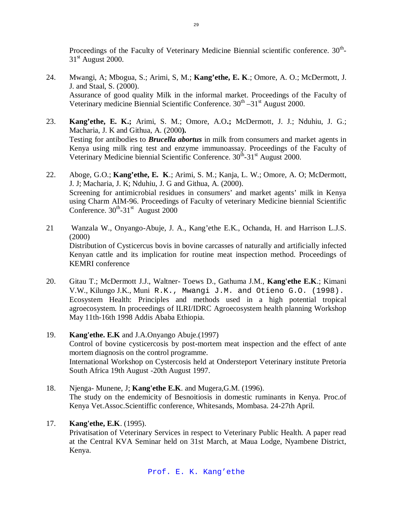Proceedings of the Faculty of Veterinary Medicine Biennial scientific conference.  $30^{\text{th}}$ - $31<sup>st</sup>$  August 2000.

- 24. Mwangi, A; Mbogua, S.; Arimi, S, M.; **Kang'ethe, E. K**.; Omore, A. O.; McDermott, J. J. and Staal, S. (2000). Assurance of good quality Milk in the informal market. Proceedings of the Faculty of Veterinary medicine Biennial Scientific Conference. 30<sup>th</sup> -31<sup>st</sup> August 2000.
- 23. **Kang'ethe, E. K.;** Arimi, S. M.; Omore, A.O**.;** McDermott, J. J.; Nduhiu, J. G.; Macharia, J. K and Githua, A. (2000**).** Testing for antibodies to *Brucella abortus* in milk from consumers and market agents in Kenya using milk ring test and enzyme immunoassay. Proceedings of the Faculty of Veterinary Medicine biennial Scientific Conference. 30<sup>th</sup>-31<sup>st</sup> August 2000.
- 22. Aboge, G.O.; **Kang'ethe, E. K**.; Arimi, S. M.; Kanja, L. W.; Omore, A. O; McDermott, J. J; Macharia, J. K; Nduhiu, J. G and Githua, A. (2000). Screening for antimicrobial residues in consumers' and market agents' milk in Kenya using Charm AIM-96. Proceedings of Faculty of veterinary Medicine biennial Scientific Conference.  $30^{th}$ - $31^{st}$  August 2000
- 21 Wanzala W., Onyango-Abuje, J. A., Kang'ethe E.K., Ochanda, H. and Harrison L.J.S. (2000) Distribution of Cysticercus bovis in bovine carcasses of naturally and artificially infected Kenyan cattle and its implication for routine meat inspection method. Proceedings of KEMRI conference
- 20. Gitau T.; McDermott J.J., Waltner- Toews D., Gathuma J.M., **Kang'ethe E.K**.; Kimani V.W., Kilungo J.K., Muni R.K., Mwangi J.M. and Otieno G.O. (1998). Ecosystem Health: Principles and methods used in a high potential tropical agroecosystem. In proceedings of ILRI/IDRC Agroecosystem health planning Workshop May 11th-16th 1998 Addis Ababa Ethiopia.
- 19. **Kang'ethe. E.K** and J.A.Onyango Abuje.(1997) Control of bovine cysticercosis by post-mortem meat inspection and the effect of ante mortem diagnosis on the control programme. International Workshop on Cystercosis held at Ondersteport Veterinary institute Pretoria South Africa 19th August -20th August 1997.
- 18. Njenga- Munene, J; **Kang'ethe E.K**. and Mugera,G.M. (1996). The study on the endemicity of Besnoitiosis in domestic ruminants in Kenya. Proc.of Kenya Vet.Assoc.Scientiffic conference, Whitesands, Mombasa. 24-27th April.

# 17. **Kang'ethe, E.K**. (1995).

Privatisation of Veterinary Services in respect to Veterinary Public Health. A paper read at the Central KVA Seminar held on 31st March, at Maua Lodge, Nyambene District, Kenya.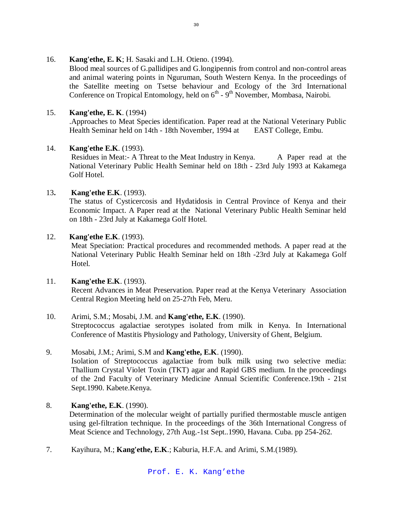## 16. **Kang'ethe, E. K**; H. Sasaki and L.H. Otieno. (1994).

Blood meal sources of G.pallidipes and G.longipennis from control and non-control areas and animal watering points in Nguruman, South Western Kenya. In the proceedings of the Satellite meeting on Tsetse behaviour and Ecology of the 3rd International Conference on Tropical Entomology, held on  $6<sup>th</sup>$  -  $9<sup>th</sup>$  November, Mombasa, Nairobi.

# 15. **Kang'ethe, E. K**. (1994)

.Approaches to Meat Species identification. Paper read at the National Veterinary Public Health Seminar held on 14th - 18th November, 1994 at EAST College, Embu.

# 14. **Kang'ethe E.K**. (1993).

Residues in Meat:- A Threat to the Meat Industry in Kenya. A Paper read at the National Veterinary Public Health Seminar held on 18th - 23rd July 1993 at Kakamega Golf Hotel.

# 13**. Kang'ethe E.K**. (1993).

The status of Cysticercosis and Hydatidosis in Central Province of Kenya and their Economic Impact. A Paper read at the National Veterinary Public Health Seminar held on 18th - 23rd July at Kakamega Golf Hotel.

# 12. **Kang'ethe E.K**. (1993).

Meat Speciation: Practical procedures and recommended methods. A paper read at the National Veterinary Public Health Seminar held on 18th -23rd July at Kakamega Golf Hotel.

## 11. **Kang'ethe E.K**. (1993).

Recent Advances in Meat Preservation. Paper read at the Kenya Veterinary Association Central Region Meeting held on 25-27th Feb, Meru.

# 10. Arimi, S.M.; Mosabi, J.M. and **Kang'ethe, E.K**. (1990).

Streptococcus agalactiae serotypes isolated from milk in Kenya. In International Conference of Mastitis Physiology and Pathology, University of Ghent, Belgium.

## 9. Mosabi, J.M.; Arimi, S.M and **Kang'ethe, E.K**. (1990).

Isolation of Streptococcus agalactiae from bulk milk using two selective media: Thallium Crystal Violet Toxin (TKT) agar and Rapid GBS medium. In the proceedings of the 2nd Faculty of Veterinary Medicine Annual Scientific Conference.19th - 21st Sept.1990. Kabete.Kenya.

## 8. **Kang'ethe, E.K**. (1990).

Determination of the molecular weight of partially purified thermostable muscle antigen using gel-filtration technique. In the proceedings of the 36th International Congress of Meat Science and Technology, 27th Aug.-1st Sept..1990, Havana. Cuba. pp 254-262.

7. Kayihura, M.; **Kang'ethe, E.K**.; Kaburia, H.F.A. and Arimi, S.M.(1989).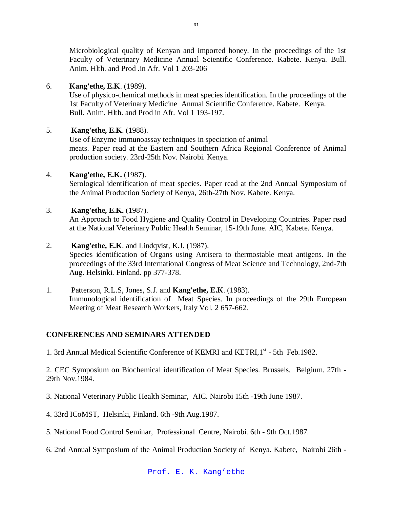Microbiological quality of Kenyan and imported honey. In the proceedings of the 1st Faculty of Veterinary Medicine Annual Scientific Conference. Kabete. Kenya. Bull. Anim. Hlth. and Prod .in Afr. Vol 1 203-206

# 6. **Kang'ethe, E.K**. (1989).

Use of physico-chemical methods in meat species identification. In the proceedings of the 1st Faculty of Veterinary Medicine Annual Scientific Conference. Kabete. Kenya. Bull. Anim. Hlth. and Prod in Afr. Vol 1 193-197.

# 5. **Kang'ethe, E.K**. (1988).

Use of Enzyme immunoassay techniques in speciation of animal meats. Paper read at the Eastern and Southern Africa Regional Conference of Animal production society. 23rd-25th Nov. Nairobi. Kenya.

# 4. **Kang'ethe, E.K.** (1987).

Serological identification of meat species. Paper read at the 2nd Annual Symposium of the Animal Production Society of Kenya, 26th-27th Nov. Kabete. Kenya.

# 3. **Kang'ethe, E.K.** (1987).

An Approach to Food Hygiene and Quality Control in Developing Countries. Paper read at the National Veterinary Public Health Seminar, 15-19th June. AIC, Kabete. Kenya.

# 2. **Kang'ethe, E.K**. and Lindqvist, K.J. (1987).

Species identification of Organs using Antisera to thermostable meat antigens. In the proceedings of the 33rd International Congress of Meat Science and Technology, 2nd-7th Aug. Helsinki. Finland. pp 377-378.

1. Patterson, R.L.S, Jones, S.J. and **Kang'ethe, E.K**. (1983). Immunological identification of Meat Species. In proceedings of the 29th European Meeting of Meat Research Workers, Italy Vol. 2 657-662.

# **CONFERENCES AND SEMINARS ATTENDED**

1. 3rd Annual Medical Scientific Conference of KEMRI and KETRI, 1st - 5th Feb.1982.

2. CEC Symposium on Biochemical identification of Meat Species. Brussels, Belgium. 27th - 29th Nov.1984.

3. National Veterinary Public Health Seminar, AIC. Nairobi 15th -19th June 1987.

- 4. 33rd ICoMST, Helsinki, Finland. 6th -9th Aug.1987.
- 5. National Food Control Seminar, Professional Centre, Nairobi. 6th 9th Oct.1987.
- 6. 2nd Annual Symposium of the Animal Production Society of Kenya. Kabete, Nairobi 26th -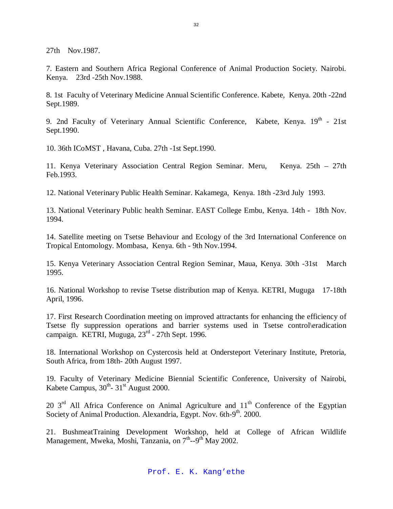27th Nov.1987.

7. Eastern and Southern Africa Regional Conference of Animal Production Society. Nairobi. Kenya. 23rd -25th Nov.1988.

8. 1st Faculty of Veterinary Medicine Annual Scientific Conference. Kabete, Kenya. 20th -22nd Sept.1989.

9. 2nd Faculty of Veterinary Annual Scientific Conference, Kabete, Kenya. 19<sup>th</sup> - 21st Sept.1990.

10. 36th ICoMST , Havana, Cuba. 27th -1st Sept.1990.

11. Kenya Veterinary Association Central Region Seminar. Meru, Kenya. 25th – 27th Feb.1993.

12. National Veterinary Public Health Seminar. Kakamega, Kenya. 18th -23rd July 1993.

13. National Veterinary Public health Seminar. EAST College Embu, Kenya. 14th - 18th Nov. 1994.

14. Satellite meeting on Tsetse Behaviour and Ecology of the 3rd International Conference on Tropical Entomology. Mombasa, Kenya. 6th - 9th Nov.1994.

15. Kenya Veterinary Association Central Region Seminar, Maua, Kenya. 30th -31st March 1995.

16. National Workshop to revise Tsetse distribution map of Kenya. KETRI, Muguga 17-18th April, 1996.

17. First Research Coordination meeting on improved attractants for enhancing the efficiency of Tsetse fly suppression operations and barrier systems used in Tsetse control\eradication campaign. KETRI, Muguga, 23<sup>rd</sup> - 27th Sept. 1996.

18. International Workshop on Cystercosis held at Ondersteport Veterinary Institute, Pretoria, South Africa, from 18th- 20th August 1997.

19. Faculty of Veterinary Medicine Biennial Scientific Conference, University of Nairobi, Kabete Campus,  $30^{th}$ -  $31^{st}$  August 2000.

20  $3<sup>rd</sup>$  All Africa Conference on Animal Agriculture and  $11<sup>th</sup>$  Conference of the Egyptian Society of Animal Production. Alexandria, Egypt. Nov. 6th-9<sup>th</sup>. 2000.

21. BushmeatTraining Development Workshop, held at College of African Wildlife Management, Mweka, Moshi, Tanzania, on 7<sup>th</sup>--9<sup>th</sup> May 2002.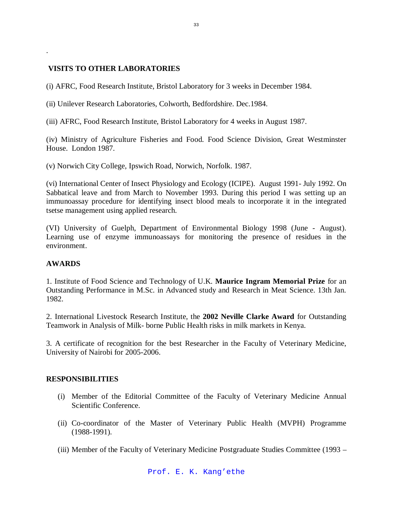# **VISITS TO OTHER LABORATORIES**

(i) AFRC, Food Research Institute, Bristol Laboratory for 3 weeks in December 1984.

(ii) Unilever Research Laboratories, Colworth, Bedfordshire. Dec.1984.

(iii) AFRC, Food Research Institute, Bristol Laboratory for 4 weeks in August 1987.

(iv) Ministry of Agriculture Fisheries and Food. Food Science Division, Great Westminster House. London 1987.

(v) Norwich City College, Ipswich Road, Norwich, Norfolk. 1987.

(vi) International Center of Insect Physiology and Ecology (ICIPE). August 1991- July 1992. On Sabbatical leave and from March to November 1993. During this period I was setting up an immunoassay procedure for identifying insect blood meals to incorporate it in the integrated tsetse management using applied research.

(VI) University of Guelph, Department of Environmental Biology 1998 (June - August). Learning use of enzyme immunoassays for monitoring the presence of residues in the environment.

# **AWARDS**

.

1. Institute of Food Science and Technology of U.K. **Maurice Ingram Memorial Prize** for an Outstanding Performance in M.Sc. in Advanced study and Research in Meat Science. 13th Jan. 1982.

2. International Livestock Research Institute, the **2002 Neville Clarke Award** for Outstanding Teamwork in Analysis of Milk- borne Public Health risks in milk markets in Kenya.

3. A certificate of recognition for the best Researcher in the Faculty of Veterinary Medicine, University of Nairobi for 2005-2006.

## **RESPONSIBILITIES**

- (i) Member of the Editorial Committee of the Faculty of Veterinary Medicine Annual Scientific Conference.
- (ii) Co-coordinator of the Master of Veterinary Public Health (MVPH) Programme (1988-1991).
- (iii) Member of the Faculty of Veterinary Medicine Postgraduate Studies Committee (1993 –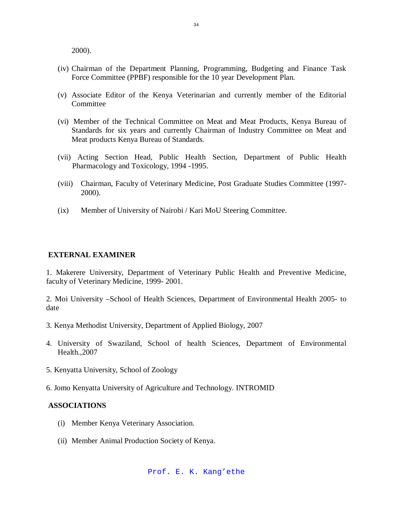2000).

- (iv) Chairman of the Department Planning, Programming, Budgeting and Finance Task Force Committee (PPBF) responsible for the 10 year Development Plan.
- (v) Associate Editor of the Kenya Veterinarian and currently member of the Editorial **Committee**
- (vi) Member of the Technical Committee on Meat and Meat Products, Kenya Bureau of Standards for six years and currently Chairman of Industry Committee on Meat and Meat products Kenya Bureau of Standards.
- (vii) Acting Section Head, Public Health Section, Department of Public Health Pharmacology and Toxicology, 1994 -1995.
- (viii) Chairman, Faculty of Veterinary Medicine, Post Graduate Studies Committee (1997- 2000).
- (ix) Member of University of Nairobi / Kari MoU Steering Committee.

### **EXTERNAL EXAMINER**

1. Makerere University, Department of Veterinary Public Health and Preventive Medicine, faculty of Veterinary Medicine, 1999- 2001.

2. Moi University –School of Health Sciences, Department of Environmental Health 2005- to date

- 3. Kenya Methodist University, Department of Applied Biology, 2007
- 4. University of Swaziland, School of health Sciences, Department of Environmental Health.,2007
- 5. Kenyatta University, School of Zoology
- 6. Jomo Kenyatta University of Agriculture and Technology. INTROMID

#### **ASSOCIATIONS**

- (i) Member Kenya Veterinary Association.
- (ii) Member Animal Production Society of Kenya.